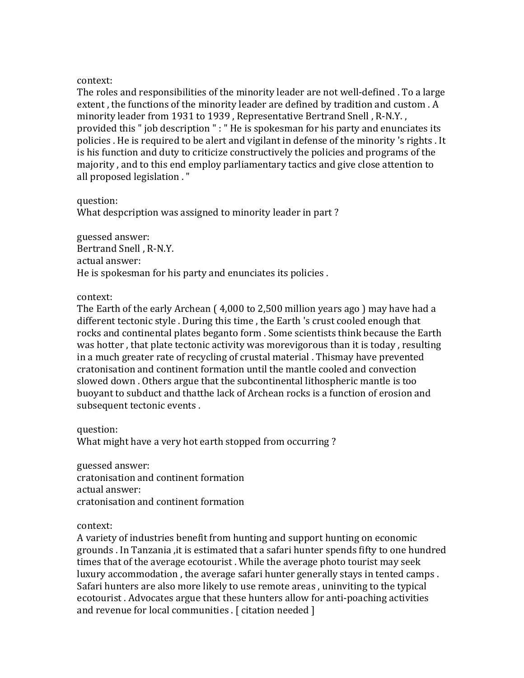The roles and responsibilities of the minority leader are not well-defined . To a large extent, the functions of the minority leader are defined by tradition and custom . A minority leader from 1931 to 1939, Representative Bertrand Snell, R-N.Y., provided this " job description " : " He is spokesman for his party and enunciates its policies . He is required to be alert and vigilant in defense of the minority 's rights . It is his function and duty to criticize constructively the policies and programs of the majority, and to this end employ parliamentary tactics and give close attention to all proposed legislation . "

question:

What despcription was assigned to minority leader in part?

guessed answer:

Bertrand Snell, R-N.Y. actual answer: He is spokesman for his party and enunciates its policies.

# context:

The Earth of the early Archean  $(4,000 \text{ to } 2,500 \text{ million years}$  ago  $)$  may have had a different tectonic style . During this time, the Earth 's crust cooled enough that rocks and continental plates beganto form . Some scientists think because the Earth was hotter, that plate tectonic activity was morevigorous than it is today, resulting in a much greater rate of recycling of crustal material. Thismay have prevented cratonisation and continent formation until the mantle cooled and convection slowed down . Others argue that the subcontinental lithospheric mantle is too buovant to subduct and thatthe lack of Archean rocks is a function of erosion and subsequent tectonic events.

question:

What might have a very hot earth stopped from occurring?

guessed answer: cratonisation and continent formation actual answer: cratonisation and continent formation

context:

A variety of industries benefit from hunting and support hunting on economic grounds . In Tanzania , it is estimated that a safari hunter spends fifty to one hundred times that of the average ecotourist. While the average photo tourist may seek luxury accommodation, the average safari hunter generally stays in tented camps. Safari hunters are also more likely to use remote areas, uninviting to the typical ecotourist. Advocates argue that these hunters allow for anti-poaching activities and revenue for local communities .  $[$  citation needed  $]$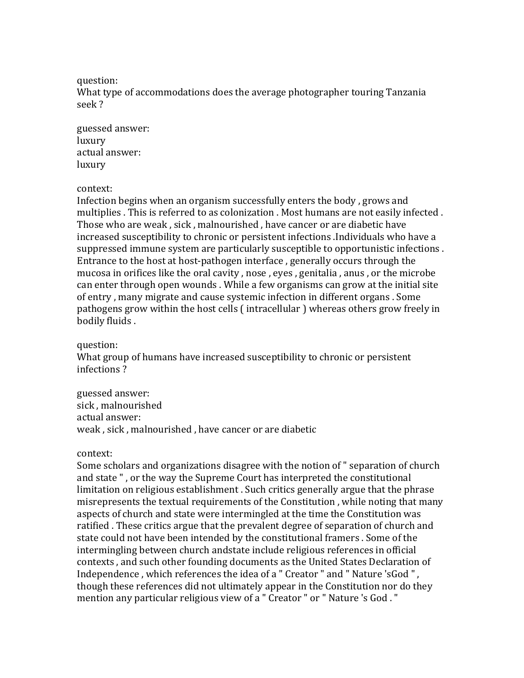question:

What type of accommodations does the average photographer touring Tanzania seek ?

guessed answer: luxury actual answer: luxury

### context:

Infection begins when an organism successfully enters the body, grows and multiplies . This is referred to as colonization . Most humans are not easily infected . Those who are weak, sick, malnourished, have cancer or are diabetic have increased susceptibility to chronic or persistent infections .Individuals who have a suppressed immune system are particularly susceptible to opportunistic infections. Entrance to the host at host-pathogen interface, generally occurs through the mucosa in orifices like the oral cavity, nose, eyes, genitalia, anus, or the microbe can enter through open wounds. While a few organisms can grow at the initial site of entry, many migrate and cause systemic infection in different organs. Some pathogens grow within the host cells (intracellular) whereas others grow freely in bodily fluids.

## question:

What group of humans have increased susceptibility to chronic or persistent infections?

guessed answer: sick, malnourished actual answer: weak, sick, malnourished, have cancer or are diabetic

## context:

Some scholars and organizations disagree with the notion of " separation of church and state ", or the way the Supreme Court has interpreted the constitutional limitation on religious establishment. Such critics generally argue that the phrase misrepresents the textual requirements of the Constitution, while noting that many aspects of church and state were intermingled at the time the Constitution was ratified . These critics argue that the prevalent degree of separation of church and state could not have been intended by the constitutional framers . Some of the intermingling between church andstate include religious references in official contexts, and such other founding documents as the United States Declaration of Independence, which references the idea of a " Creator " and " Nature 'sGod ", though these references did not ultimately appear in the Constitution nor do they mention any particular religious view of a " Creator " or " Nature 's God. "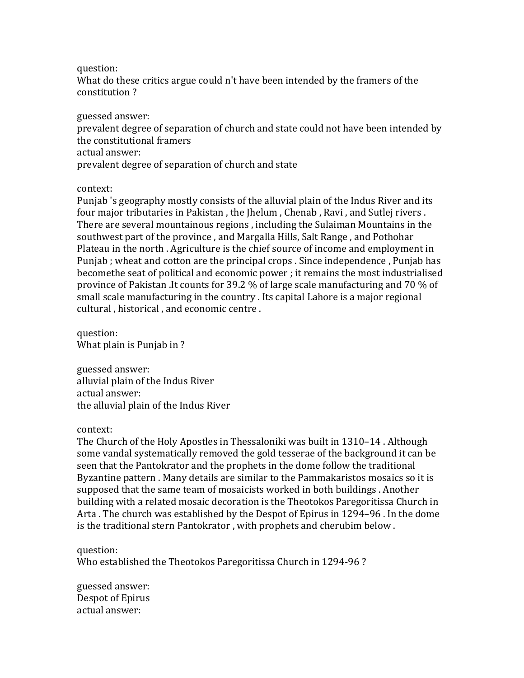## question:

What do these critics argue could n't have been intended by the framers of the constitution ?

guessed answer:

prevalent degree of separation of church and state could not have been intended by the constitutional framers actual answer:

prevalent degree of separation of church and state

context:

Punjab 's geography mostly consists of the alluvial plain of the Indus River and its four major tributaries in Pakistan, the Ihelum, Chenab, Ravi, and Sutlej rivers. There are several mountainous regions, including the Sulaiman Mountains in the southwest part of the province, and Margalla Hills, Salt Range, and Pothohar Plateau in the north . Agriculture is the chief source of income and employment in Punjab; wheat and cotton are the principal crops . Since independence, Punjab has becomethe seat of political and economic power ; it remains the most industrialised province of Pakistan .It counts for 39.2 % of large scale manufacturing and 70 % of small scale manufacturing in the country . Its capital Lahore is a major regional cultural, historical, and economic centre.

question: What plain is Punjab in ?

guessed answer: alluvial plain of the Indus River actual answer: the alluvial plain of the Indus River

# context:

The Church of the Holy Apostles in Thessaloniki was built in 1310–14. Although some vandal systematically removed the gold tesserae of the background it can be seen that the Pantokrator and the prophets in the dome follow the traditional Byzantine pattern . Many details are similar to the Pammakaristos mosaics so it is supposed that the same team of mosaicists worked in both buildings. Another building with a related mosaic decoration is the Theotokos Paregoritissa Church in Arta. The church was established by the Despot of Epirus in 1294–96. In the dome is the traditional stern Pantokrator, with prophets and cherubim below.

# question:

Who established the Theotokos Paregoritissa Church in 1294-96?

guessed answer: Despot of Epirus actual answer: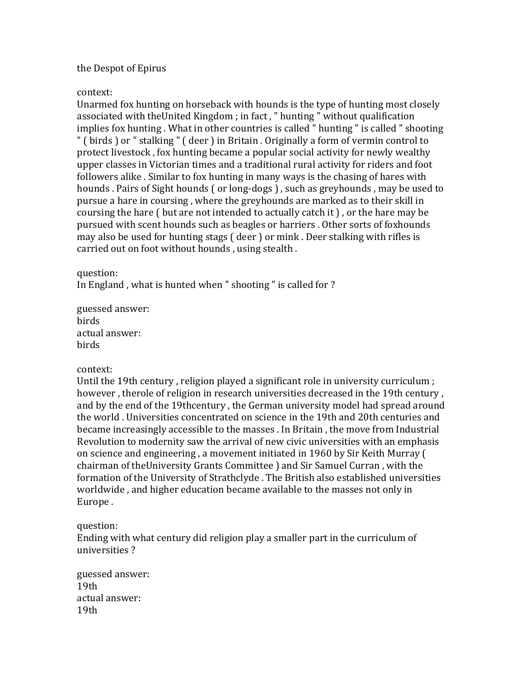# the Despot of Epirus

## context:

Unarmed fox hunting on horseback with hounds is the type of hunting most closely associated with theUnited Kingdom ; in fact, " hunting " without qualification implies fox hunting. What in other countries is called " hunting " is called " shooting " ( birds ) or " stalking " ( deer ) in Britain . Originally a form of vermin control to protect livestock, fox hunting became a popular social activity for newly wealthy upper classes in Victorian times and a traditional rural activity for riders and foot followers alike . Similar to fox hunting in many ways is the chasing of hares with hounds . Pairs of Sight hounds (or long-dogs), such as greyhounds, may be used to pursue a hare in coursing, where the greyhounds are marked as to their skill in coursing the hare  $\int$  but are not intended to actually catch it  $\int$ , or the hare may be pursued with scent hounds such as beagles or harriers . Other sorts of foxhounds may also be used for hunting stags ( deer ) or mink . Deer stalking with rifles is carried out on foot without hounds, using stealth.

## question:

In England, what is hunted when " shooting " is called for ?

guessed answer: birds actual answer: birds

## context:

Until the 19th century, religion played a significant role in university curriculum ; however, therole of religion in research universities decreased in the 19th century, and by the end of the 19thcentury, the German university model had spread around the world. Universities concentrated on science in the 19th and 20th centuries and became increasingly accessible to the masses . In Britain , the move from Industrial Revolution to modernity saw the arrival of new civic universities with an emphasis on science and engineering, a movement initiated in 1960 by Sir Keith Murray ( chairman of theUniversity Grants Committee ) and Sir Samuel Curran, with the formation of the University of Strathclyde. The British also established universities worldwide, and higher education became available to the masses not only in Europe.

# question:

Ending with what century did religion play a smaller part in the curriculum of universities?

guessed answer: 19th actual answer: 19th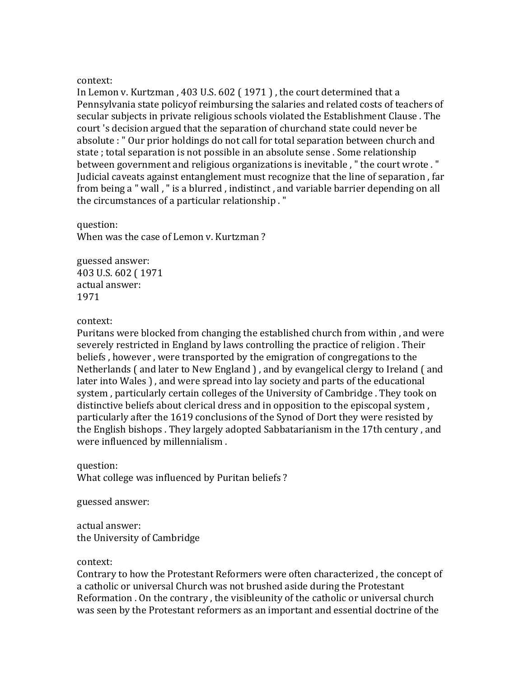In Lemon v. Kurtzman,  $403$  U.S.  $602$  (1971), the court determined that a Pennsylvania state policyof reimbursing the salaries and related costs of teachers of secular subjects in private religious schools violated the Establishment Clause. The court 's decision argued that the separation of churchand state could never be absolute : " Our prior holdings do not call for total separation between church and state; total separation is not possible in an absolute sense. Some relationship between government and religious organizations is inevitable, " the court wrote . " Judicial caveats against entanglement must recognize that the line of separation, far from being a " wall, " is a blurred, indistinct, and variable barrier depending on all the circumstances of a particular relationship."

# question:

When was the case of Lemon v. Kurtzman?

guessed answer: 403 U.S. 602 (1971) actual answer: 1971

## context:

Puritans were blocked from changing the established church from within, and were severely restricted in England by laws controlling the practice of religion. Their beliefs, however, were transported by the emigration of congregations to the Netherlands (and later to New England), and by evangelical clergy to Ireland (and later into Wales ), and were spread into lay society and parts of the educational system, particularly certain colleges of the University of Cambridge. They took on distinctive beliefs about clerical dress and in opposition to the episcopal system. particularly after the 1619 conclusions of the Synod of Dort they were resisted by the English bishops . They largely adopted Sabbatarianism in the 17th century, and were influenced by millennialism.

question: What college was influenced by Puritan beliefs?

guessed answer:

actual answer: the University of Cambridge

## context:

Contrary to how the Protestant Reformers were often characterized, the concept of a catholic or universal Church was not brushed aside during the Protestant Reformation . On the contrary, the visibleunity of the catholic or universal church was seen by the Protestant reformers as an important and essential doctrine of the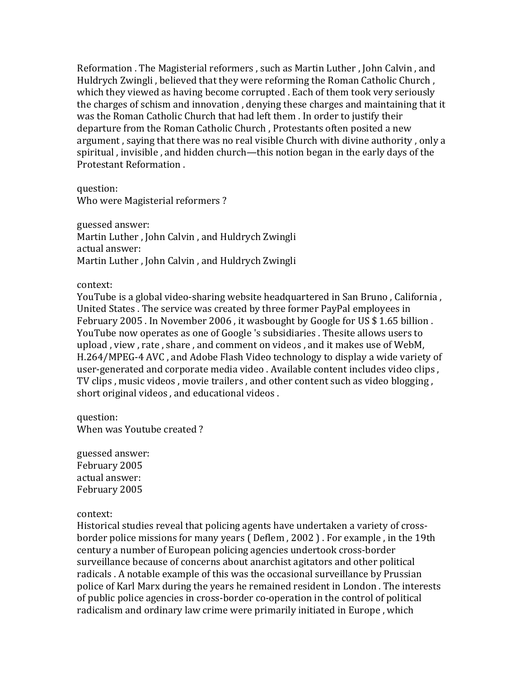Reformation . The Magisterial reformers, such as Martin Luther, John Calvin, and Huldrych Zwingli, believed that they were reforming the Roman Catholic Church, which they viewed as having become corrupted . Each of them took very seriously the charges of schism and innovation, denying these charges and maintaining that it was the Roman Catholic Church that had left them . In order to justify their departure from the Roman Catholic Church, Protestants often posited a new argument, saying that there was no real visible Church with divine authority, only a spiritual, invisible, and hidden church—this notion began in the early days of the Protestant Reformation.

question: Who were Magisterial reformers?

guessed answer: Martin Luther, John Calvin, and Huldrych Zwingli actual answer: Martin Luther, John Calvin, and Huldrych Zwingli

context:

YouTube is a global video-sharing website headquartered in San Bruno, California, United States . The service was created by three former PayPal employees in February 2005. In November 2006, it wasbought by Google for US \$1.65 billion. YouTube now operates as one of Google 's subsidiaries . Thesite allows users to upload, view, rate, share, and comment on videos, and it makes use of WebM, H.264/MPEG-4 AVC, and Adobe Flash Video technology to display a wide variety of user-generated and corporate media video . Available content includes video clips, TV clips, music videos, movie trailers, and other content such as video blogging, short original videos, and educational videos.

question: When was Youtube created?

guessed answer: February 2005 actual answer: February 2005

context:

Historical studies reveal that policing agents have undertaken a variety of crossborder police missions for many years ( Deflem, 2002 ). For example, in the 19th century a number of European policing agencies undertook cross-border surveillance because of concerns about anarchist agitators and other political radicals . A notable example of this was the occasional surveillance by Prussian police of Karl Marx during the years he remained resident in London. The interests of public police agencies in cross-border co-operation in the control of political radicalism and ordinary law crime were primarily initiated in Europe, which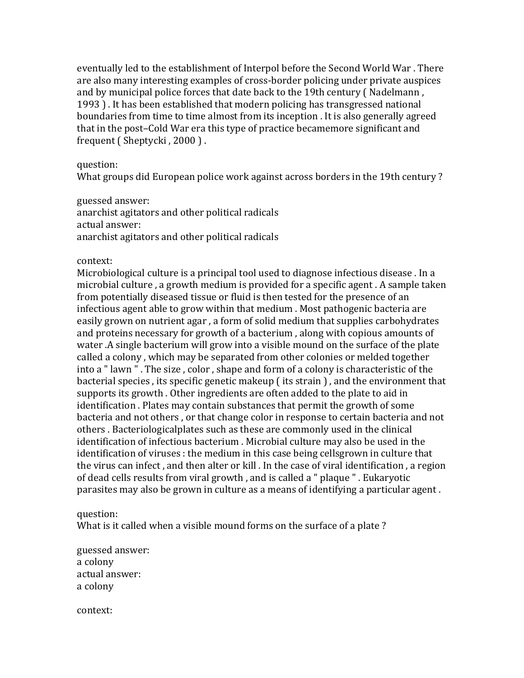eventually led to the establishment of Interpol before the Second World War. There are also many interesting examples of cross-border policing under private auspices and by municipal police forces that date back to the 19th century  $\int$  Nadelmann . 1993). It has been established that modern policing has transgressed national boundaries from time to time almost from its inception . It is also generally agreed that in the post–Cold War era this type of practice becamemore significant and frequent  $($  Sheptycki, 2000 $)$ .

## question:

What groups did European police work against across borders in the 19th century?

guessed answer: anarchist agitators and other political radicals actual answer: anarchist agitators and other political radicals

## context:

Microbiological culture is a principal tool used to diagnose infectious disease . In a microbial culture, a growth medium is provided for a specific agent. A sample taken from potentially diseased tissue or fluid is then tested for the presence of an infectious agent able to grow within that medium . Most pathogenic bacteria are easily grown on nutrient agar, a form of solid medium that supplies carbohydrates and proteins necessary for growth of a bacterium, along with copious amounts of water .A single bacterium will grow into a visible mound on the surface of the plate called a colony, which may be separated from other colonies or melded together into a "lawn". The size, color, shape and form of a colony is characteristic of the bacterial species, its specific genetic makeup (its strain), and the environment that supports its growth. Other ingredients are often added to the plate to aid in identification . Plates may contain substances that permit the growth of some bacteria and not others, or that change color in response to certain bacteria and not others. Bacteriologicalplates such as these are commonly used in the clinical identification of infectious bacterium . Microbial culture may also be used in the identification of viruses : the medium in this case being cellsgrown in culture that the virus can infect, and then alter or kill. In the case of viral identification, a region of dead cells results from viral growth, and is called a " plaque ". Eukaryotic parasites may also be grown in culture as a means of identifying a particular agent.

# question:

What is it called when a visible mound forms on the surface of a plate?

guessed answer: a colony actual answer: a colony

context: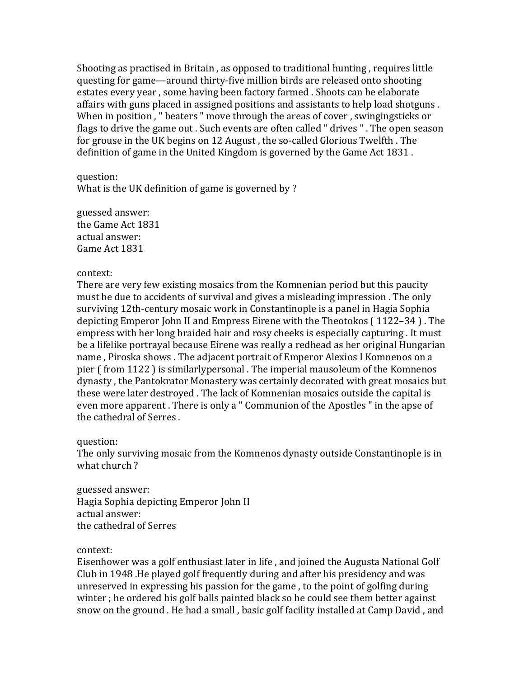Shooting as practised in Britain, as opposed to traditional hunting, requires little questing for game—around thirty-five million birds are released onto shooting estates every year, some having been factory farmed . Shoots can be elaborate affairs with guns placed in assigned positions and assistants to help load shotguns. When in position, " beaters " move through the areas of cover, swingingsticks or flags to drive the game out . Such events are often called " drives ". The open season for grouse in the UK begins on 12 August, the so-called Glorious Twelfth. The definition of game in the United Kingdom is governed by the Game Act 1831.

question:

What is the UK definition of game is governed by ?

guessed answer: the Game Act 1831 actual answer: Game Act 1831

# context:

There are very few existing mosaics from the Komnenian period but this paucity must be due to accidents of survival and gives a misleading impression. The only surviving 12th-century mosaic work in Constantinople is a panel in Hagia Sophia depicting Emperor John II and Empress Eirene with the Theotokos (1122–34). The empress with her long braided hair and rosy cheeks is especially capturing. It must be a lifelike portrayal because Eirene was really a redhead as her original Hungarian name, Piroska shows. The adjacent portrait of Emperor Alexios I Komnenos on a pier (from 1122) is similarlypersonal. The imperial mausoleum of the Komnenos dynasty, the Pantokrator Monastery was certainly decorated with great mosaics but these were later destroyed. The lack of Komnenian mosaics outside the capital is even more apparent. There is only a " Communion of the Apostles " in the apse of the cathedral of Serres.

question:

The only surviving mosaic from the Komnenos dynasty outside Constantinople is in what church?

guessed answer: Hagia Sophia depicting Emperor John II actual answer: the cathedral of Serres

# context:

Eisenhower was a golf enthusiast later in life, and joined the Augusta National Golf Club in 1948 .He played golf frequently during and after his presidency and was unreserved in expressing his passion for the game, to the point of golfing during winter; he ordered his golf balls painted black so he could see them better against snow on the ground . He had a small, basic golf facility installed at Camp David, and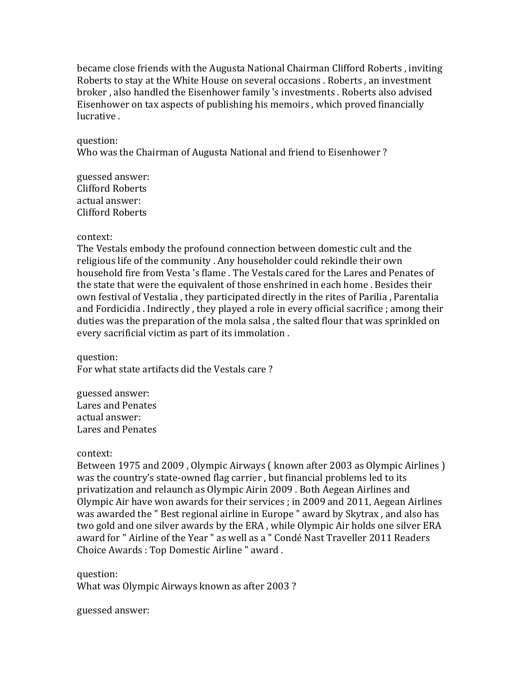became close friends with the Augusta National Chairman Clifford Roberts, inviting Roberts to stay at the White House on several occasions . Roberts, an investment broker, also handled the Eisenhower family 's investments. Roberts also advised Eisenhower on tax aspects of publishing his memoirs, which proved financially lucrative.

## question:

Who was the Chairman of Augusta National and friend to Eisenhower?

guessed answer: Clifford Roberts actual answer: Clifford Roberts

## context:

The Vestals embody the profound connection between domestic cult and the religious life of the community . Any householder could rekindle their own household fire from Vesta 's flame . The Vestals cared for the Lares and Penates of the state that were the equivalent of those enshrined in each home. Besides their own festival of Vestalia, they participated directly in the rites of Parilia, Parentalia and Fordicidia . Indirectly, they played a role in every official sacrifice; among their duties was the preparation of the mola salsa, the salted flour that was sprinkled on every sacrificial victim as part of its immolation.

question: For what state artifacts did the Vestals care?

guessed answer: Lares and Penates actual answer: Lares and Penates

# context:

Between 1975 and 2009, Olympic Airways ( known after 2003 as Olympic Airlines ) was the country's state-owned flag carrier, but financial problems led to its privatization and relaunch as Olympic Airin 2009 . Both Aegean Airlines and Olympic Air have won awards for their services ; in 2009 and 2011, Aegean Airlines was awarded the " Best regional airline in Europe " award by Skytrax, and also has two gold and one silver awards by the ERA, while Olympic Air holds one silver ERA award for " Airline of the Year " as well as a " Condé Nast Traveller 2011 Readers Choice Awards : Top Domestic Airline " award.

question: What was Olympic Airways known as after 2003?

guessed answer: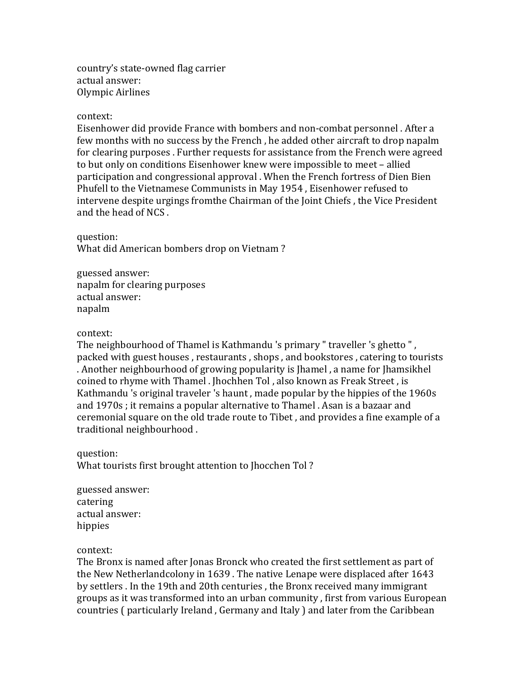country's state-owned flag carrier actual answer: Olympic Airlines

## context:

Eisenhower did provide France with bombers and non-combat personnel. After a few months with no success by the French, he added other aircraft to drop napalm for clearing purposes . Further requests for assistance from the French were agreed to but only on conditions Eisenhower knew were impossible to meet - allied participation and congressional approval . When the French fortress of Dien Bien Phufell to the Vietnamese Communists in May 1954, Eisenhower refused to intervene despite urgings fromthe Chairman of the Joint Chiefs, the Vice President and the head of NCS.

question: What did American bombers drop on Vietnam?

guessed answer: napalm for clearing purposes actual answer: napalm

## context:

The neighbourhood of Thamel is Kathmandu 's primary " traveller 's ghetto ", packed with guest houses, restaurants, shops, and bookstores, catering to tourists . Another neighbourhood of growing popularity is [hamel, a name for [hamsikhel] coined to rhyme with Thamel . Jhochhen Tol, also known as Freak Street, is Kathmandu 's original traveler 's haunt, made popular by the hippies of the 1960s and 1970s; it remains a popular alternative to Thamel . Asan is a bazaar and ceremonial square on the old trade route to Tibet, and provides a fine example of a traditional neighbourhood.

question: What tourists first brought attention to Jhocchen Tol?

guessed answer: catering actual answer: hippies

## context:

The Bronx is named after Jonas Bronck who created the first settlement as part of the New Netherlandcolony in  $1639$ . The native Lenape were displaced after  $1643$ by settlers . In the 19th and 20th centuries, the Bronx received many immigrant groups as it was transformed into an urban community, first from various European countries ( particularly Ireland, Germany and Italy ) and later from the Caribbean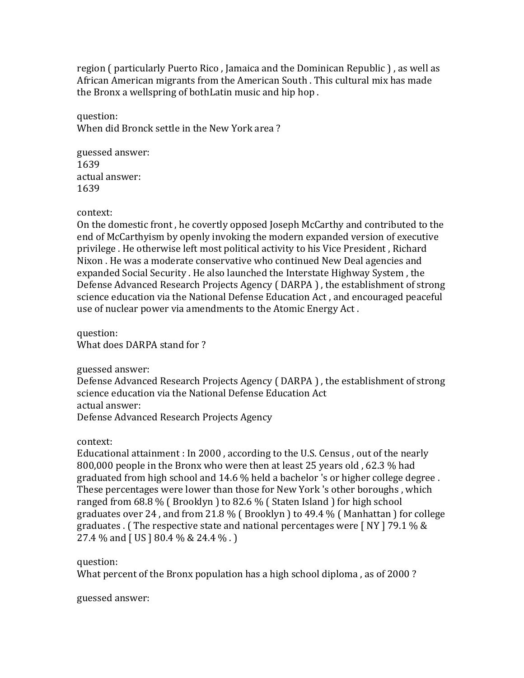region ( particularly Puerto Rico, Jamaica and the Dominican Republic ), as well as African American migrants from the American South . This cultural mix has made the Bronx a wellspring of bothLatin music and hip hop.

question: When did Bronck settle in the New York area?

guessed answer: 1639 actual answer: 1639

context:

On the domestic front, he covertly opposed Joseph McCarthy and contributed to the end of McCarthyism by openly invoking the modern expanded version of executive privilege . He otherwise left most political activity to his Vice President, Richard Nixon . He was a moderate conservative who continued New Deal agencies and expanded Social Security . He also launched the Interstate Highway System, the Defense Advanced Research Projects Agency ( DARPA ), the establishment of strong science education via the National Defense Education Act, and encouraged peaceful use of nuclear power via amendments to the Atomic Energy Act.

question: What does DARPA stand for ?

guessed answer:

Defense Advanced Research Projects Agency ( DARPA ), the establishment of strong science education via the National Defense Education Act actual answer: Defense Advanced Research Projects Agency

context:

Educational attainment : In 2000, according to the U.S. Census, out of the nearly 800,000 people in the Bronx who were then at least 25 years old, 62.3 % had graduated from high school and  $14.6\%$  held a bachelor 's or higher college degree. These percentages were lower than those for New York 's other boroughs, which ranged from  $68.8\%$  (Brooklyn) to  $82.6\%$  (Staten Island) for high school graduates over 24, and from 21.8 % (Brooklyn) to 49.4 % (Manhattan) for college graduates . (The respective state and national percentages were [NY ] 79.1 % & 27.4  $\%$  and [ US ] 80.4  $\%$  & 24.4  $\%$ . ]

# question:

What percent of the Bronx population has a high school diploma, as of 2000?

guessed answer: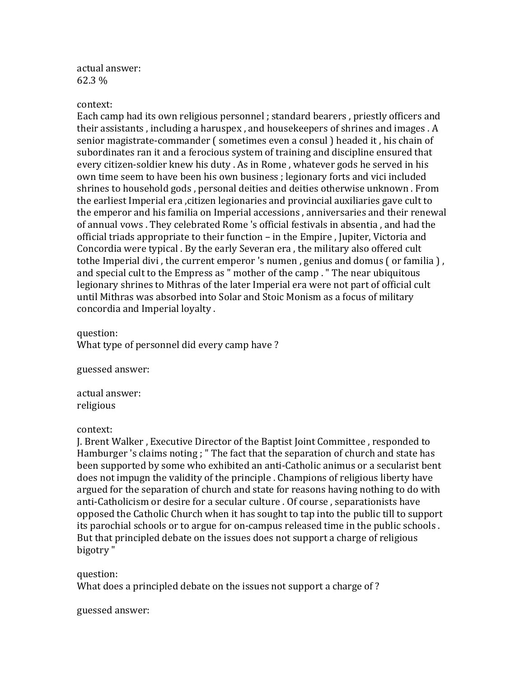actual answer: 62.3 %

#### context:

Each camp had its own religious personnel ; standard bearers, priestly officers and their assistants, including a haruspex, and housekeepers of shrines and images. A senior magistrate-commander ( sometimes even a consul ) headed it, his chain of subordinates ran it and a ferocious system of training and discipline ensured that every citizen-soldier knew his duty . As in Rome, whatever gods he served in his own time seem to have been his own business ; legionary forts and vici included shrines to household gods, personal deities and deities otherwise unknown. From the earliest Imperial era , citizen legionaries and provincial auxiliaries gave cult to the emperor and his familia on Imperial accessions, anniversaries and their renewal of annual vows . They celebrated Rome 's official festivals in absentia, and had the official triads appropriate to their function – in the Empire, Jupiter, Victoria and Concordia were typical . By the early Severan era, the military also offered cult tothe Imperial divi, the current emperor 's numen, genius and domus (or familia), and special cult to the Empress as " mother of the camp . " The near ubiquitous legionary shrines to Mithras of the later Imperial era were not part of official cult until Mithras was absorbed into Solar and Stoic Monism as a focus of military concordia and Imperial loyalty.

question: What type of personnel did every camp have?

guessed answer:

actual answer: religious

## context:

J. Brent Walker , Executive Director of the Baptist Joint Committee , responded to Hamburger 's claims noting : " The fact that the separation of church and state has been supported by some who exhibited an anti-Catholic animus or a secularist bent does not impugn the validity of the principle . Champions of religious liberty have argued for the separation of church and state for reasons having nothing to do with anti-Catholicism or desire for a secular culture . Of course, separationists have opposed the Catholic Church when it has sought to tap into the public till to support its parochial schools or to argue for on-campus released time in the public schools. But that principled debate on the issues does not support a charge of religious bigotry "

question:

What does a principled debate on the issues not support a charge of?

guessed answer: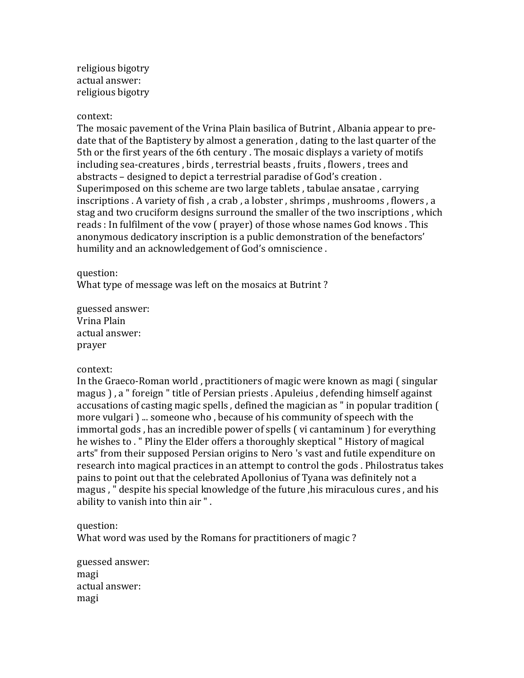religious bigotry actual answer: religious bigotry

## context:

The mosaic pavement of the Vrina Plain basilica of Butrint, Albania appear to predate that of the Baptistery by almost a generation, dating to the last quarter of the 5th or the first years of the 6th century . The mosaic displays a variety of motifs including sea-creatures, birds, terrestrial beasts, fruits, flowers, trees and abstracts – designed to depict a terrestrial paradise of God's creation. Superimposed on this scheme are two large tablets, tabulae ansatae, carrying inscriptions . A variety of fish, a crab, a lobster, shrimps, mushrooms, flowers, a stag and two cruciform designs surround the smaller of the two inscriptions, which reads : In fulfilment of the vow (prayer) of those whose names God knows . This anonymous dedicatory inscription is a public demonstration of the benefactors' humility and an acknowledgement of God's omniscience.

## question:

What type of message was left on the mosaics at Butrint?

guessed answer: Vrina Plain actual answer: prayer

# context:

In the Graeco-Roman world, practitioners of magic were known as magi (singular magus ), a " foreign " title of Persian priests . Apuleius, defending himself against accusations of casting magic spells, defined the magician as " in popular tradition ( more vulgari  $)$ ... someone who, because of his community of speech with the immortal gods, has an incredible power of spells (vi cantaminum) for everything he wishes to . " Pliny the Elder offers a thoroughly skeptical " History of magical arts" from their supposed Persian origins to Nero 's vast and futile expenditure on research into magical practices in an attempt to control the gods. Philostratus takes pains to point out that the celebrated Apollonius of Tyana was definitely not a magus, " despite his special knowledge of the future ,his miraculous cures, and his ability to vanish into thin air ".

## question:

What word was used by the Romans for practitioners of magic?

guessed answer: magi actual answer: magi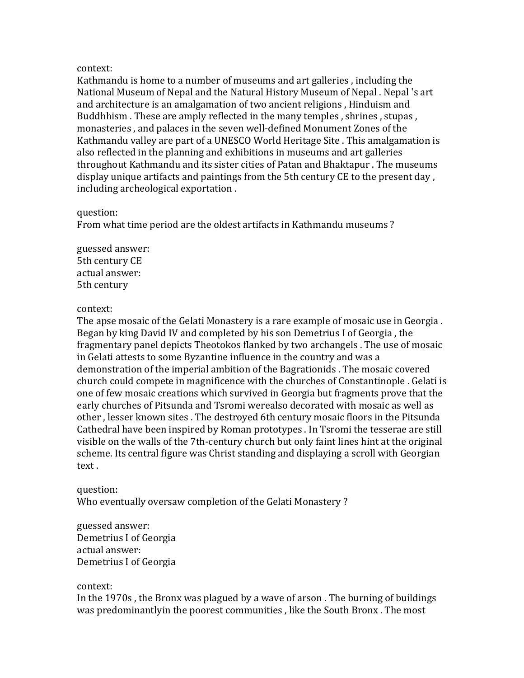Kathmandu is home to a number of museums and art galleries, including the National Museum of Nepal and the Natural History Museum of Nepal . Nepal 's art and architecture is an amalgamation of two ancient religions, Hinduism and Buddhhism. These are amply reflected in the many temples, shrines, stupas, monasteries , and palaces in the seven well-defined Monument Zones of the Kathmandu valley are part of a UNESCO World Heritage Site . This amalgamation is also reflected in the planning and exhibitions in museums and art galleries throughout Kathmandu and its sister cities of Patan and Bhaktapur . The museums display unique artifacts and paintings from the 5th century CE to the present day, including archeological exportation.

## question:

From what time period are the oldest artifacts in Kathmandu museums?

guessed answer: 5th century CE actual answer: 5th century

## context:

The apse mosaic of the Gelati Monastery is a rare example of mosaic use in Georgia. Began by king David IV and completed by his son Demetrius I of Georgia, the fragmentary panel depicts Theotokos flanked by two archangels . The use of mosaic in Gelati attests to some Byzantine influence in the country and was a demonstration of the imperial ambition of the Bagrationids . The mosaic covered church could compete in magnificence with the churches of Constantinople . Gelati is one of few mosaic creations which survived in Georgia but fragments prove that the early churches of Pitsunda and Tsromi werealso decorated with mosaic as well as other, lesser known sites. The destroyed 6th century mosaic floors in the Pitsunda Cathedral have been inspired by Roman prototypes . In Tsromi the tesserae are still visible on the walls of the 7th-century church but only faint lines hint at the original scheme. Its central figure was Christ standing and displaying a scroll with Georgian text.

question: Who eventually oversaw completion of the Gelati Monastery?

guessed answer: Demetrius I of Georgia actual answer: Demetrius I of Georgia

## context:

In the 1970s, the Bronx was plagued by a wave of arson. The burning of buildings was predominantlyin the poorest communities, like the South Bronx. The most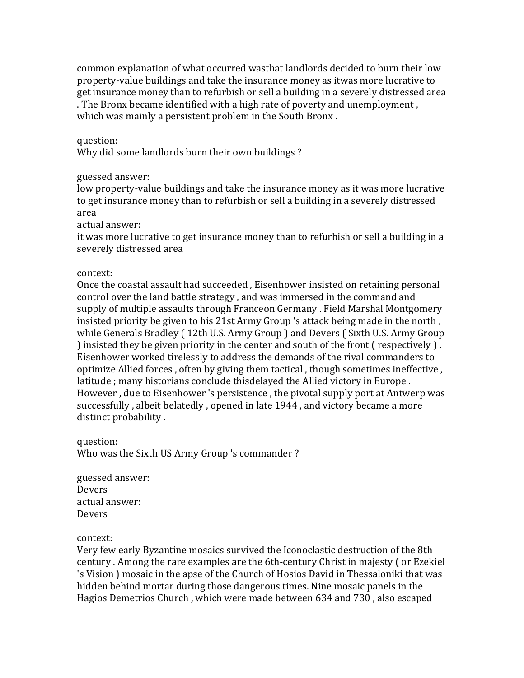common explanation of what occurred wasthat landlords decided to burn their low property-value buildings and take the insurance money as itwas more lucrative to get insurance money than to refurbish or sell a building in a severely distressed area . The Bronx became identified with a high rate of poverty and unemployment, which was mainly a persistent problem in the South Bronx.

## question:

Why did some landlords burn their own buildings?

# guessed answer:

low property-value buildings and take the insurance money as it was more lucrative to get insurance money than to refurbish or sell a building in a severely distressed area

actual answer:

it was more lucrative to get insurance money than to refurbish or sell a building in a severely distressed area

## context:

Once the coastal assault had succeeded, Eisenhower insisted on retaining personal control over the land battle strategy, and was immersed in the command and supply of multiple assaults through Franceon Germany . Field Marshal Montgomery insisted priority be given to his 21st Army Group 's attack being made in the north, while Generals Bradley (12th U.S. Army Group) and Devers (Sixth U.S. Army Group ) insisted they be given priority in the center and south of the front ( respectively ). Eisenhower worked tirelessly to address the demands of the rival commanders to optimize Allied forces, often by giving them tactical, though sometimes ineffective, latitude ; many historians conclude thisdelayed the Allied victory in Europe. However, due to Eisenhower 's persistence, the pivotal supply port at Antwerp was successfully, albeit belatedly, opened in late 1944, and victory became a more distinct probability.

question: Who was the Sixth US Army Group 's commander?

guessed answer: Devers actual answer: Devers

context:

Very few early Byzantine mosaics survived the Iconoclastic destruction of the 8th century . Among the rare examples are the 6th-century Christ in majesty (or Ezekiel 's Vision ) mosaic in the apse of the Church of Hosios David in Thessaloniki that was hidden behind mortar during those dangerous times. Nine mosaic panels in the Hagios Demetrios Church, which were made between 634 and 730, also escaped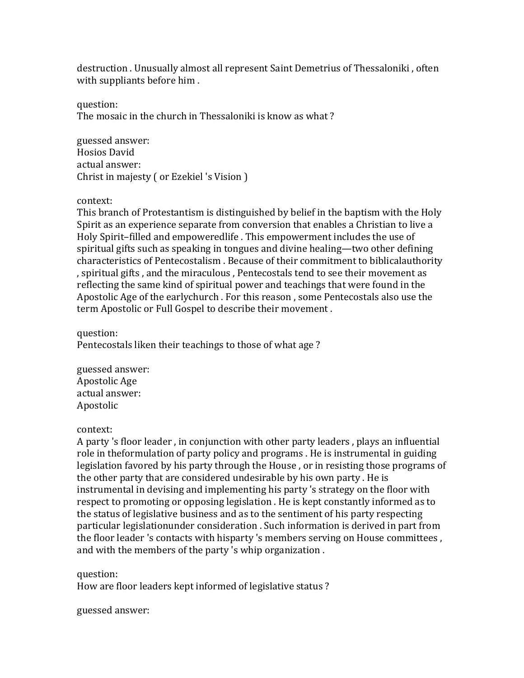destruction . Unusually almost all represent Saint Demetrius of Thessaloniki, often with suppliants before him.

question:

The mosaic in the church in Thessaloniki is know as what?

guessed answer: Hosios David actual answer: Christ in majesty (or Ezekiel 's Vision )

# context:

This branch of Protestantism is distinguished by belief in the baptism with the Holy Spirit as an experience separate from conversion that enables a Christian to live a Holy Spirit-filled and empoweredlife . This empowerment includes the use of spiritual gifts such as speaking in tongues and divine healing—two other defining characteristics of Pentecostalism. Because of their commitment to biblicalauthority , spiritual gifts, and the miraculous, Pentecostals tend to see their movement as reflecting the same kind of spiritual power and teachings that were found in the Apostolic Age of the earlychurch . For this reason, some Pentecostals also use the term Apostolic or Full Gospel to describe their movement.

question:

Pentecostals liken their teachings to those of what age?

guessed answer: Apostolic Age actual answer: Apostolic

# context:

A party 's floor leader, in conjunction with other party leaders, plays an influential role in theformulation of party policy and programs . He is instrumental in guiding legislation favored by his party through the House, or in resisting those programs of the other party that are considered undesirable by his own party. He is instrumental in devising and implementing his party 's strategy on the floor with respect to promoting or opposing legislation . He is kept constantly informed as to the status of legislative business and as to the sentiment of his party respecting particular legislationunder consideration . Such information is derived in part from the floor leader 's contacts with hisparty 's members serving on House committees, and with the members of the party 's whip organization.

question:

How are floor leaders kept informed of legislative status?

guessed answer: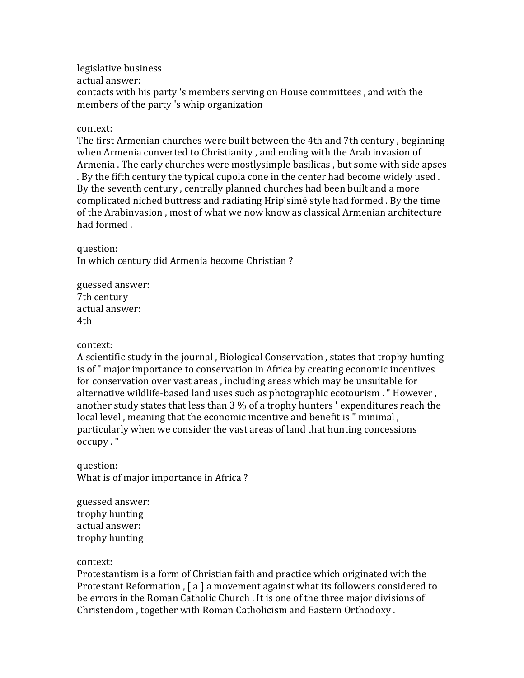legislative business actual answer: contacts with his party 's members serving on House committees, and with the members of the party 's whip organization

## context:

The first Armenian churches were built between the 4th and 7th century, beginning when Armenia converted to Christianity, and ending with the Arab invasion of Armenia . The early churches were mostlysimple basilicas, but some with side apses . By the fifth century the typical cupola cone in the center had become widely used. By the seventh century, centrally planned churches had been built and a more complicated niched buttress and radiating Hrip'simé style had formed . By the time of the Arabinvasion, most of what we now know as classical Armenian architecture had formed.

question:

In which century did Armenia become Christian?

guessed answer: 7th century actual answer: 4th

## context:

A scientific study in the journal, Biological Conservation, states that trophy hunting is of " major importance to conservation in Africa by creating economic incentives for conservation over vast areas, including areas which may be unsuitable for alternative wildlife-based land uses such as photographic ecotourism . " However, another study states that less than  $3\%$  of a trophy hunters ' expenditures reach the local level, meaning that the economic incentive and benefit is " minimal, particularly when we consider the vast areas of land that hunting concessions occupy."

question: What is of major importance in Africa?

guessed answer: trophy hunting actual answer: trophy hunting

#### context:

Protestantism is a form of Christian faith and practice which originated with the Protestant Reformation,  $\lceil a \rceil$  a movement against what its followers considered to be errors in the Roman Catholic Church . It is one of the three major divisions of Christendom, together with Roman Catholicism and Eastern Orthodoxy.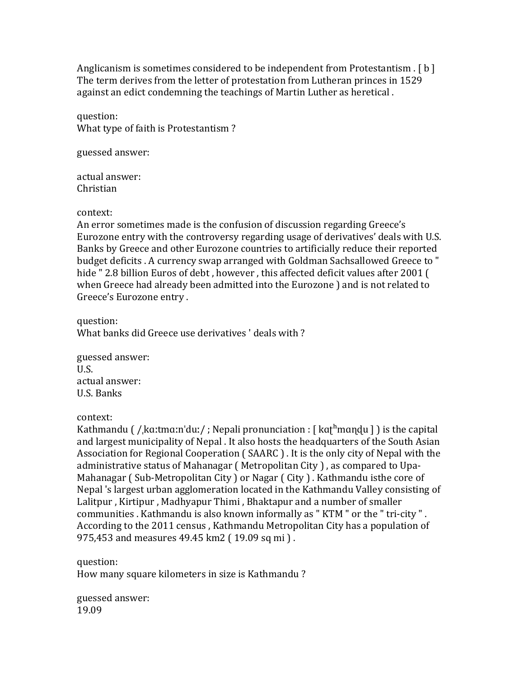Anglicanism is sometimes considered to be independent from Protestantism .  $\lceil b \rceil$ The term derives from the letter of protestation from Lutheran princes in 1529 against an edict condemning the teachings of Martin Luther as heretical.

question: What type of faith is Protestantism?

guessed answer:

actual answer: Christian

## context:

An error sometimes made is the confusion of discussion regarding Greece's Eurozone entry with the controversy regarding usage of derivatives' deals with U.S. Banks by Greece and other Eurozone countries to artificially reduce their reported budget deficits . A currency swap arranged with Goldman Sachsallowed Greece to " hide " 2.8 billion Euros of debt, however, this affected deficit values after 2001 ( when Greece had already been admitted into the Eurozone ) and is not related to Greece's Eurozone entry.

question: What banks did Greece use derivatives ' deals with ?

guessed answer: U.S. actual answer: U.S. Banks

context:

Kathmandu  $\frac{1}{k}$  / kɑːtmɑːnˈduː/ ; Nepali pronunciation :  $\frac{1}{k}$  kat<sup>h</sup>mandu  $\frac{1}{k}$  is the capital and largest municipality of Nepal. It also hosts the headquarters of the South Asian Association for Regional Cooperation (SAARC). It is the only city of Nepal with the administrative status of Mahanagar (Metropolitan City), as compared to Upa-Mahanagar (Sub-Metropolitan City) or Nagar (City). Kathmandu isthe core of Nepal 's largest urban agglomeration located in the Kathmandu Valley consisting of Lalitpur, Kirtipur, Madhyapur Thimi, Bhaktapur and a number of smaller communities . Kathmandu is also known informally as " KTM " or the " tri-city ". According to the 2011 census, Kathmandu Metropolitan City has a population of 975,453 and measures 49.45 km2 (19.09 sq mi).

question: How many square kilometers in size is Kathmandu?

guessed answer: 19.09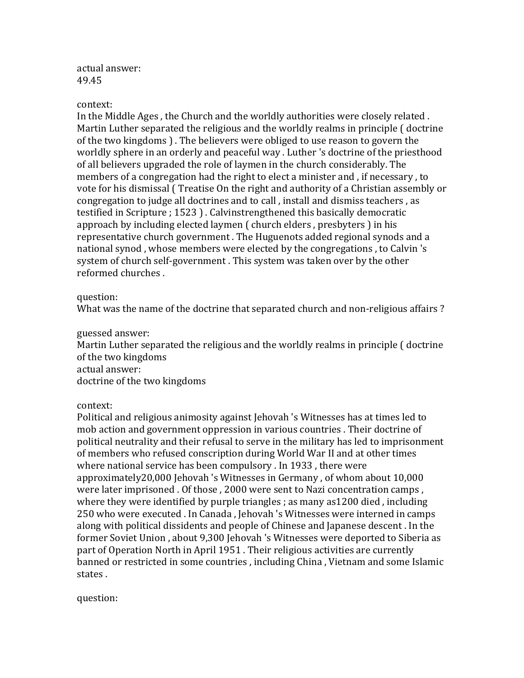actual answer: 49.45

## context:

In the Middle Ages, the Church and the worldly authorities were closely related. Martin Luther separated the religious and the worldly realms in principle ( doctrine of the two kingdoms ). The believers were obliged to use reason to govern the worldly sphere in an orderly and peaceful way . Luther 's doctrine of the priesthood of all believers upgraded the role of laymen in the church considerably. The members of a congregation had the right to elect a minister and, if necessary, to vote for his dismissal (Treatise On the right and authority of a Christian assembly or congregation to judge all doctrines and to call , install and dismiss teachers , as testified in Scripture ; 1523 ). Calvinstrengthened this basically democratic approach by including elected laymen ( church elders, presbyters ) in his representative church government. The Huguenots added regional synods and a national synod, whose members were elected by the congregations, to Calvin 's system of church self-government. This system was taken over by the other reformed churches.

# question:

What was the name of the doctrine that separated church and non-religious affairs ?

## guessed answer:

Martin Luther separated the religious and the worldly realms in principle ( doctrine of the two kingdoms actual answer:

doctrine of the two kingdoms

context:

Political and religious animosity against Jehovah 's Witnesses has at times led to mob action and government oppression in various countries . Their doctrine of political neutrality and their refusal to serve in the military has led to imprisonment of members who refused conscription during World War II and at other times where national service has been compulsory . In 1933, there were approximately  $20,000$  Jehovah 's Witnesses in Germany, of whom about  $10,000$ were later imprisoned . Of those, 2000 were sent to Nazi concentration camps, where they were identified by purple triangles ; as many as  $1200$  died, including 250 who were executed . In Canada, Jehovah 's Witnesses were interned in camps along with political dissidents and people of Chinese and Japanese descent. In the former Soviet Union, about 9,300 Jehovah 's Witnesses were deported to Siberia as part of Operation North in April 1951. Their religious activities are currently banned or restricted in some countries, including China, Vietnam and some Islamic states.

question: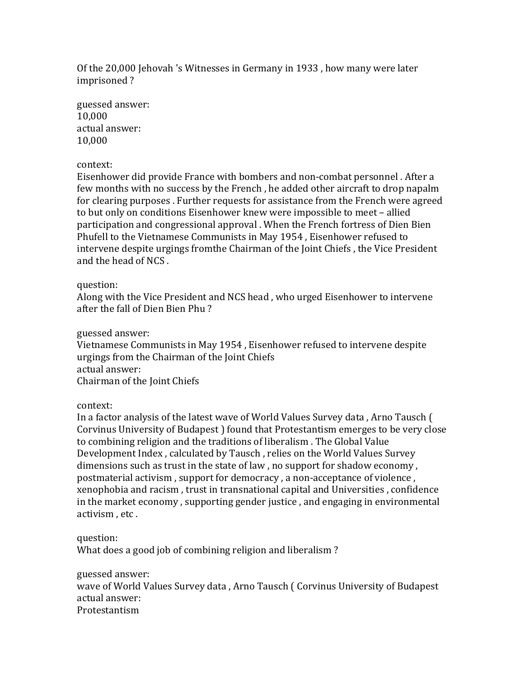Of the 20,000 Jehovah 's Witnesses in Germany in 1933, how many were later imprisoned?

guessed answer: 10,000 actual answer: 10,000

# context:

Eisenhower did provide France with bombers and non-combat personnel. After a few months with no success by the French, he added other aircraft to drop napalm for clearing purposes . Further requests for assistance from the French were agreed to but only on conditions Eisenhower knew were impossible to meet - allied participation and congressional approval . When the French fortress of Dien Bien Phufell to the Vietnamese Communists in May 1954, Eisenhower refused to intervene despite urgings fromthe Chairman of the Joint Chiefs, the Vice President and the head of NCS.

## question:

Along with the Vice President and NCS head, who urged Eisenhower to intervene after the fall of Dien Bien Phu?

## guessed answer:

Vietnamese Communists in May 1954, Eisenhower refused to intervene despite urgings from the Chairman of the Joint Chiefs actual answer: Chairman of the Joint Chiefs

context:

In a factor analysis of the latest wave of World Values Survey data, Arno Tausch ( Corvinus University of Budapest I found that Protestantism emerges to be very close to combining religion and the traditions of liberalism. The Global Value Development Index, calculated by Tausch, relies on the World Values Survey dimensions such as trust in the state of law, no support for shadow economy, postmaterial activism, support for democracy, a non-acceptance of violence, xenophobia and racism, trust in transnational capital and Universities, confidence in the market economy, supporting gender justice, and engaging in environmental activism, etc.

# question:

What does a good job of combining religion and liberalism?

guessed answer:

wave of World Values Survey data, Arno Tausch ( Corvinus University of Budapest actual answer: Protestantism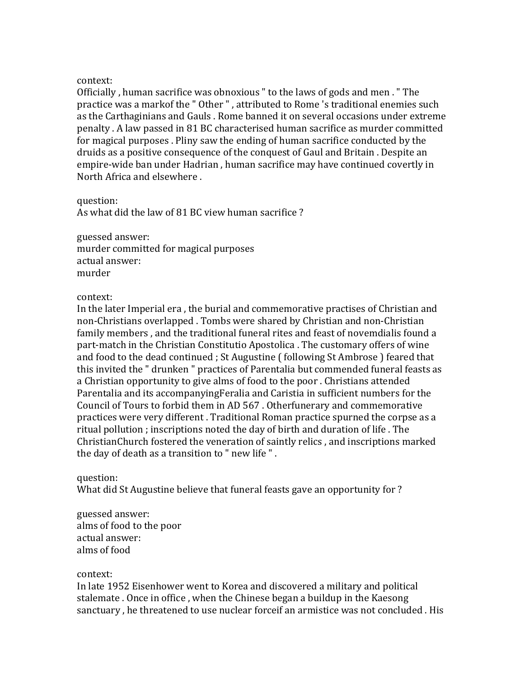Officially, human sacrifice was obnoxious " to the laws of gods and men. " The practice was a markof the " Other ", attributed to Rome 's traditional enemies such as the Carthaginians and Gauls . Rome banned it on several occasions under extreme penalty . A law passed in 81 BC characterised human sacrifice as murder committed for magical purposes . Pliny saw the ending of human sacrifice conducted by the druids as a positive consequence of the conquest of Gaul and Britain . Despite an empire-wide ban under Hadrian, human sacrifice may have continued covertly in North Africa and elsewhere.

question:

As what did the law of 81 BC view human sacrifice?

guessed answer: murder committed for magical purposes actual answer: murder

# context:

In the later Imperial era, the burial and commemorative practises of Christian and non-Christians overlapped . Tombs were shared by Christian and non-Christian family members, and the traditional funeral rites and feast of novemdialis found a part-match in the Christian Constitutio Apostolica . The customary offers of wine and food to the dead continued ; St Augustine ( following St Ambrose ) feared that this invited the " drunken " practices of Parentalia but commended funeral feasts as a Christian opportunity to give alms of food to the poor . Christians attended Parentalia and its accompanying Feralia and Caristia in sufficient numbers for the Council of Tours to forbid them in AD 567. Otherfunerary and commemorative practices were very different. Traditional Roman practice spurned the corpse as a ritual pollution ; inscriptions noted the day of birth and duration of life. The ChristianChurch fostered the veneration of saintly relics, and inscriptions marked the day of death as a transition to " new life ".

# question:

What did St Augustine believe that funeral feasts gave an opportunity for ?

guessed answer: alms of food to the poor actual answer: alms of food

# context:

In late 1952 Eisenhower went to Korea and discovered a military and political stalemate . Once in office, when the Chinese began a buildup in the Kaesong sanctuary, he threatened to use nuclear forceif an armistice was not concluded. His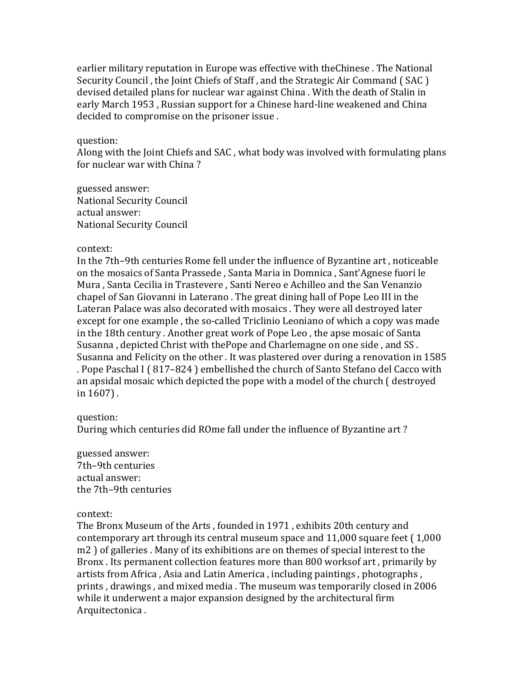earlier military reputation in Europe was effective with theChinese. The National Security Council, the Joint Chiefs of Staff, and the Strategic Air Command (SAC) devised detailed plans for nuclear war against China. With the death of Stalin in early March 1953, Russian support for a Chinese hard-line weakened and China decided to compromise on the prisoner issue .

## question:

Along with the Joint Chiefs and SAC, what body was involved with formulating plans for nuclear war with China?

guessed answer: National Security Council actual answer: National Security Council

## context:

In the 7th–9th centuries Rome fell under the influence of Byzantine art, noticeable on the mosaics of Santa Prassede, Santa Maria in Domnica, Sant'Agnese fuori le Mura, Santa Cecilia in Trastevere, Santi Nereo e Achilleo and the San Venanzio chapel of San Giovanni in Laterano. The great dining hall of Pope Leo III in the Lateran Palace was also decorated with mosaics . They were all destroyed later except for one example, the so-called Triclinio Leoniano of which a copy was made in the 18th century . Another great work of Pope Leo, the apse mosaic of Santa Susanna, depicted Christ with thePope and Charlemagne on one side, and SS. Susanna and Felicity on the other. It was plastered over during a renovation in 1585 . Pope Paschal I (817–824) embellished the church of Santo Stefano del Cacco with an apsidal mosaic which depicted the pope with a model of the church ( destroyed in  $1607$ ).

# question:

During which centuries did ROme fall under the influence of Byzantine art?

guessed answer: 7th–9th centuries actual answer: the 7th–9th centuries

context:

The Bronx Museum of the Arts, founded in 1971, exhibits 20th century and contemporary art through its central museum space and  $11,000$  square feet  $(1,000)$ m2) of galleries . Many of its exhibitions are on themes of special interest to the Bronx . Its permanent collection features more than 800 worksof art, primarily by artists from Africa, Asia and Latin America, including paintings, photographs, prints, drawings, and mixed media. The museum was temporarily closed in 2006 while it underwent a major expansion designed by the architectural firm Arquitectonica.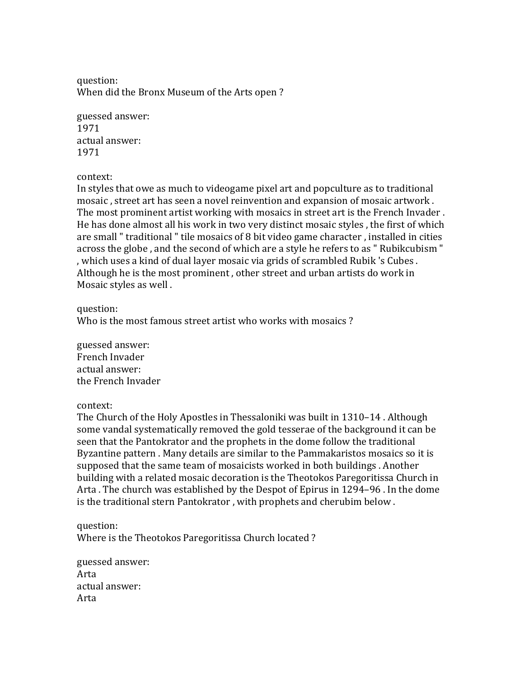question: When did the Bronx Museum of the Arts open?

guessed answer: 1971 actual answer: 1971

context:

In styles that owe as much to videogame pixel art and popculture as to traditional mosaic, street art has seen a novel reinvention and expansion of mosaic artwork. The most prominent artist working with mosaics in street art is the French Invader. He has done almost all his work in two very distinct mosaic styles, the first of which are small " traditional " tile mosaics of 8 bit video game character, installed in cities across the globe, and the second of which are a style he refers to as " Rubikcubism " , which uses a kind of dual layer mosaic via grids of scrambled Rubik 's Cubes. Although he is the most prominent, other street and urban artists do work in Mosaic styles as well.

question:

Who is the most famous street artist who works with mosaics?

guessed answer: French Invader actual answer: the French Invader

context:

The Church of the Holy Apostles in Thessaloniki was built in  $1310-14$ . Although some vandal systematically removed the gold tesserae of the background it can be seen that the Pantokrator and the prophets in the dome follow the traditional Byzantine pattern . Many details are similar to the Pammakaristos mosaics so it is supposed that the same team of mosaicists worked in both buildings. Another building with a related mosaic decoration is the Theotokos Paregoritissa Church in Arta. The church was established by the Despot of Epirus in 1294–96. In the dome is the traditional stern Pantokrator, with prophets and cherubim below.

question: Where is the Theotokos Paregoritissa Church located?

guessed answer: Arta actual answer: Arta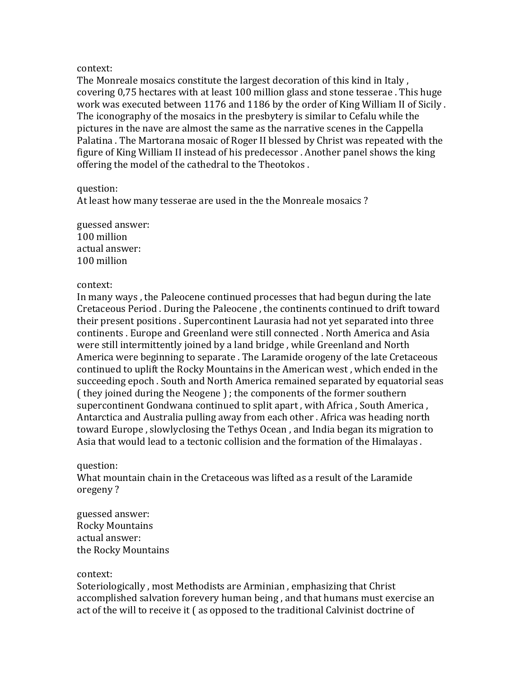The Monreale mosaics constitute the largest decoration of this kind in Italy, covering 0,75 hectares with at least 100 million glass and stone tesserae. This huge work was executed between 1176 and 1186 by the order of King William II of Sicily. The iconography of the mosaics in the presbytery is similar to Cefalu while the pictures in the nave are almost the same as the narrative scenes in the Cappella Palatina . The Martorana mosaic of Roger II blessed by Christ was repeated with the figure of King William II instead of his predecessor . Another panel shows the king offering the model of the cathedral to the Theotokos.

question:

At least how many tesserae are used in the the Monreale mosaics?

guessed answer: 100 million actual answer: 100 million

# context:

In many ways, the Paleocene continued processes that had begun during the late Cretaceous Period . During the Paleocene, the continents continued to drift toward their present positions . Supercontinent Laurasia had not vet separated into three continents . Europe and Greenland were still connected . North America and Asia were still intermittently joined by a land bridge, while Greenland and North America were beginning to separate . The Laramide orogeny of the late Cretaceous continued to uplift the Rocky Mountains in the American west, which ended in the succeeding epoch. South and North America remained separated by equatorial seas ( they joined during the Neogene ); the components of the former southern supercontinent Gondwana continued to split apart, with Africa, South America, Antarctica and Australia pulling away from each other. Africa was heading north toward Europe, slowlyclosing the Tethys Ocean, and India began its migration to Asia that would lead to a tectonic collision and the formation of the Himalayas.

# question:

What mountain chain in the Cretaceous was lifted as a result of the Laramide oregeny?

guessed answer: Rocky Mountains actual answer: the Rocky Mountains

# context:

Soteriologically, most Methodists are Arminian, emphasizing that Christ accomplished salvation forevery human being, and that humans must exercise an act of the will to receive it  $($  as opposed to the traditional Calvinist doctrine of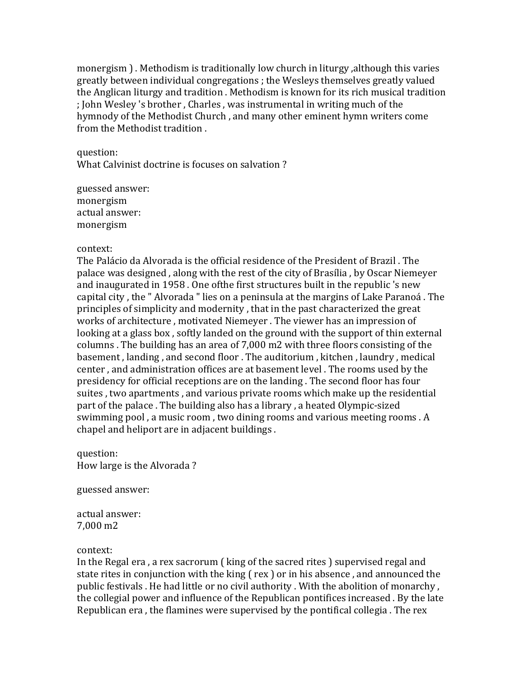monergism  $\cdot$ . Methodism is traditionally low church in liturgy , although this varies greatly between individual congregations ; the Wesleys themselves greatly valued the Anglican liturgy and tradition . Methodism is known for its rich musical tradition ; John Wesley 's brother, Charles, was instrumental in writing much of the hymnody of the Methodist Church, and many other eminent hymn writers come from the Methodist tradition.

question: What Calvinist doctrine is focuses on salvation?

guessed answer: monergism actual answer: monergism

## context:

The Palácio da Alvorada is the official residence of the President of Brazil. The palace was designed, along with the rest of the city of Brasília, by Oscar Niemeyer and inaugurated in 1958. One of the first structures built in the republic 's new capital city, the " Alvorada " lies on a peninsula at the margins of Lake Paranoá. The principles of simplicity and modernity, that in the past characterized the great works of architecture, motivated Niemeyer. The viewer has an impression of looking at a glass box, softly landed on the ground with the support of thin external columns. The building has an area of 7,000 m2 with three floors consisting of the basement, landing, and second floor. The auditorium, kitchen, laundry, medical center, and administration offices are at basement level. The rooms used by the presidency for official receptions are on the landing. The second floor has four suites, two apartments, and various private rooms which make up the residential part of the palace. The building also has a library, a heated Olympic-sized swimming pool, a music room, two dining rooms and various meeting rooms. A chapel and heliport are in adiacent buildings.

question: How large is the Alvorada?

guessed answer:

actual answer: 7,000 m2

# context:

In the Regal era, a rex sacrorum  $\int$  king of the sacred rites  $\int$  supervised regal and state rites in conjunction with the king  $($  rex  $)$  or in his absence, and announced the public festivals . He had little or no civil authority . With the abolition of monarchy, the collegial power and influence of the Republican pontifices increased . By the late Republican era, the flamines were supervised by the pontifical collegia. The rex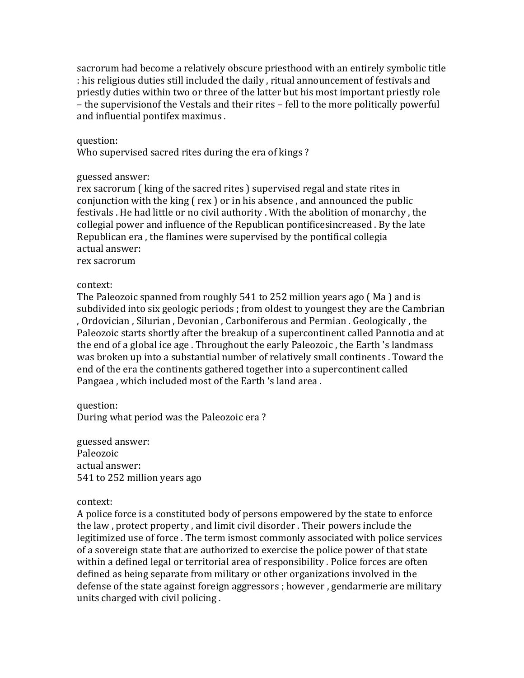sacrorum had become a relatively obscure priesthood with an entirely symbolic title : his religious duties still included the daily, ritual announcement of festivals and priestly duties within two or three of the latter but his most important priestly role – the supervisionof the Vestals and their rites – fell to the more politically powerful and influential pontifex maximus.

## question:

Who supervised sacred rites during the era of kings?

## guessed answer:

rex sacrorum (king of the sacred rites ) supervised regal and state rites in conjunction with the king  $(\gamma x)$  or in his absence, and announced the public festivals . He had little or no civil authority . With the abolition of monarchy, the collegial power and influence of the Republican pontificesincreased . By the late Republican era, the flamines were supervised by the pontifical collegia actual answer:

rex sacrorum

## context:

The Paleozoic spanned from roughly  $541$  to 252 million years ago (Ma) and is subdivided into six geologic periods ; from oldest to voungest they are the Cambrian , Ordovician, Silurian, Devonian, Carboniferous and Permian. Geologically, the Paleozoic starts shortly after the breakup of a supercontinent called Pannotia and at the end of a global ice age. Throughout the early Paleozoic, the Earth 's landmass was broken up into a substantial number of relatively small continents . Toward the end of the era the continents gathered together into a supercontinent called Pangaea, which included most of the Earth 's land area.

question: During what period was the Paleozoic era?

guessed answer: Paleozoic actual answer: 541 to 252 million years ago

## context:

A police force is a constituted body of persons empowered by the state to enforce the law, protect property, and limit civil disorder. Their powers include the legitimized use of force . The term ismost commonly associated with police services of a sovereign state that are authorized to exercise the police power of that state within a defined legal or territorial area of responsibility . Police forces are often defined as being separate from military or other organizations involved in the defense of the state against foreign aggressors ; however, gendarmerie are military units charged with civil policing.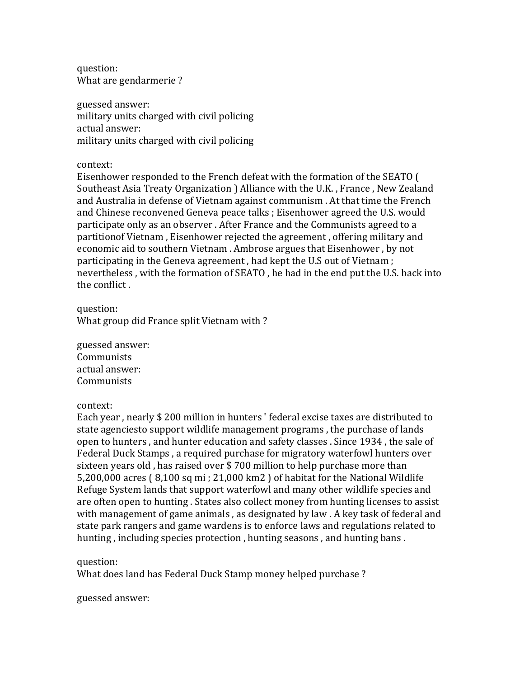question: What are gendarmerie?

guessed answer: military units charged with civil policing actual answer: military units charged with civil policing

context:

Eisenhower responded to the French defeat with the formation of the SEATO ( Southeast Asia Treaty Organization ) Alliance with the U.K., France, New Zealand and Australia in defense of Vietnam against communism. At that time the French and Chinese reconvened Geneva peace talks ; Eisenhower agreed the U.S. would participate only as an observer. After France and the Communists agreed to a partitionof Vietnam, Eisenhower rejected the agreement, offering military and economic aid to southern Vietnam . Ambrose argues that Eisenhower, by not participating in the Geneva agreement, had kept the U.S out of Vietnam; nevertheless, with the formation of SEATO, he had in the end put the U.S. back into the conflict.

question: What group did France split Vietnam with?

guessed answer: Communists actual answer: Communists

context:

Each year, nearly \$ 200 million in hunters ' federal excise taxes are distributed to state agenciesto support wildlife management programs, the purchase of lands open to hunters, and hunter education and safety classes . Since 1934, the sale of Federal Duck Stamps, a required purchase for migratory waterfowl hunters over sixteen years old, has raised over  $$700$  million to help purchase more than 5,200,000 acres  $(8,100 \text{ sq mi} ; 21,000 \text{ km2})$  of habitat for the National Wildlife Refuge System lands that support waterfowl and many other wildlife species and are often open to hunting. States also collect money from hunting licenses to assist with management of game animals, as designated by law . A key task of federal and state park rangers and game wardens is to enforce laws and regulations related to hunting, including species protection, hunting seasons, and hunting bans.

question:

What does land has Federal Duck Stamp money helped purchase?

guessed answer: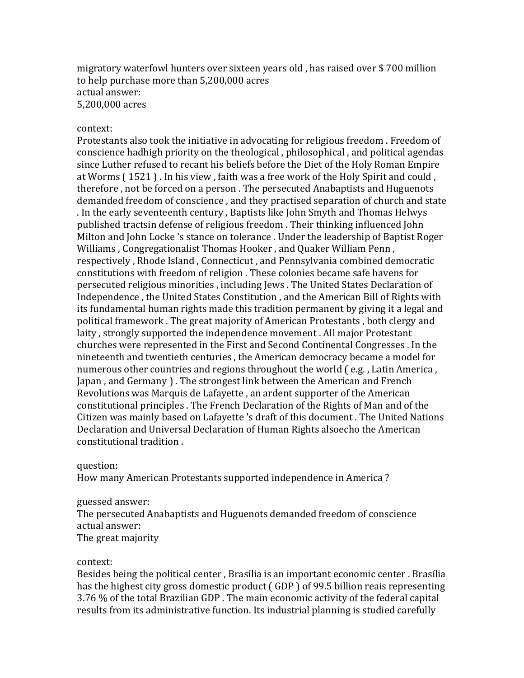migratory waterfowl hunters over sixteen years old, has raised over \$700 million to help purchase more than 5,200,000 acres actual answer: 5,200,000 acres

#### context:

Protestants also took the initiative in advocating for religious freedom. Freedom of conscience hadhigh priority on the theological, philosophical, and political agendas since Luther refused to recant his beliefs before the Diet of the Holy Roman Empire at Worms (1521). In his view, faith was a free work of the Holy Spirit and could, therefore, not be forced on a person. The persecuted Anabaptists and Huguenots demanded freedom of conscience, and they practised separation of church and state . In the early seventeenth century, Baptists like John Smyth and Thomas Helwys published tractsin defense of religious freedom. Their thinking influenced John Milton and John Locke 's stance on tolerance . Under the leadership of Baptist Roger Williams, Congregationalist Thomas Hooker, and Quaker William Penn, respectively, Rhode Island, Connecticut, and Pennsylvania combined democratic constitutions with freedom of religion . These colonies became safe havens for persecuted religious minorities, including Jews. The United States Declaration of Independence, the United States Constitution, and the American Bill of Rights with its fundamental human rights made this tradition permanent by giving it a legal and political framework. The great majority of American Protestants, both clergy and laity, strongly supported the independence movement. All major Protestant churches were represented in the First and Second Continental Congresses . In the nineteenth and twentieth centuries, the American democracy became a model for numerous other countries and regions throughout the world  $( e.g., Latin America,$ Japan, and Germany ). The strongest link between the American and French Revolutions was Marquis de Lafayette , an ardent supporter of the American constitutional principles . The French Declaration of the Rights of Man and of the Citizen was mainly based on Lafayette 's draft of this document. The United Nations Declaration and Universal Declaration of Human Rights alsoecho the American constitutional tradition .

question:

How many American Protestants supported independence in America?

### guessed answer:

The persecuted Anabaptists and Huguenots demanded freedom of conscience actual answer:

The great majority

#### context:

Besides being the political center, Brasília is an important economic center. Brasília has the highest city gross domestic product (GDP) of 99.5 billion reais representing 3.76 % of the total Brazilian GDP. The main economic activity of the federal capital results from its administrative function. Its industrial planning is studied carefully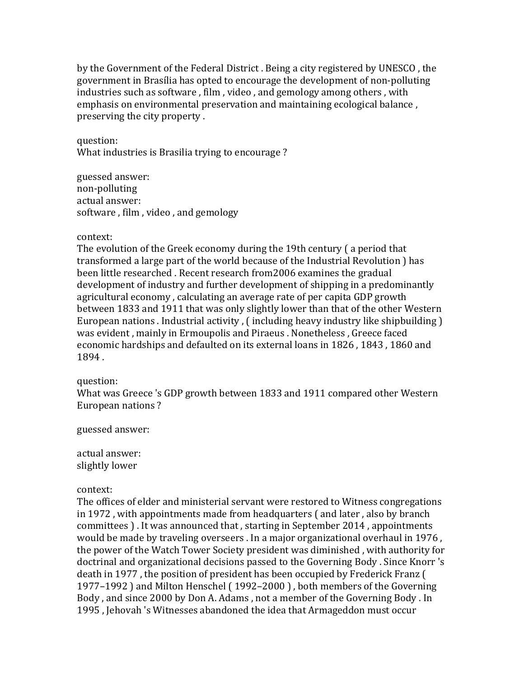by the Government of the Federal District . Being a city registered by UNESCO, the government in Brasília has opted to encourage the development of non-polluting industries such as software, film, video, and gemology among others, with emphasis on environmental preservation and maintaining ecological balance, preserving the city property.

question:

What industries is Brasilia trying to encourage?

guessed answer: non-polluting actual answer: software, film, video, and gemology

## context:

The evolution of the Greek economy during the 19th century (a period that transformed a large part of the world because of the Industrial Revolution ) has been little researched. Recent research from2006 examines the gradual development of industry and further development of shipping in a predominantly agricultural economy, calculating an average rate of per capita GDP growth between 1833 and 1911 that was only slightly lower than that of the other Western European nations . Industrial activity ,  $\int$  including heavy industry like shipbuilding  $\int$ was evident, mainly in Ermoupolis and Piraeus . Nonetheless, Greece faced economic hardships and defaulted on its external loans in 1826, 1843, 1860 and 1894.

# question:

What was Greece 's GDP growth between 1833 and 1911 compared other Western European nations?

guessed answer:

actual answer: slightly lower

## context:

The offices of elder and ministerial servant were restored to Witness congregations in  $1972$ , with appointments made from headquarters  $\int$  and later, also by branch committees ). It was announced that, starting in September 2014, appointments would be made by traveling overseers . In a major organizational overhaul in 1976, the power of the Watch Tower Society president was diminished, with authority for doctrinal and organizational decisions passed to the Governing Body . Since Knorr 's death in 1977, the position of president has been occupied by Frederick Franz ( 1977–1992) and Milton Henschel (1992–2000), both members of the Governing Body, and since 2000 by Don A. Adams, not a member of the Governing Body. In 1995, Jehovah 's Witnesses abandoned the idea that Armageddon must occur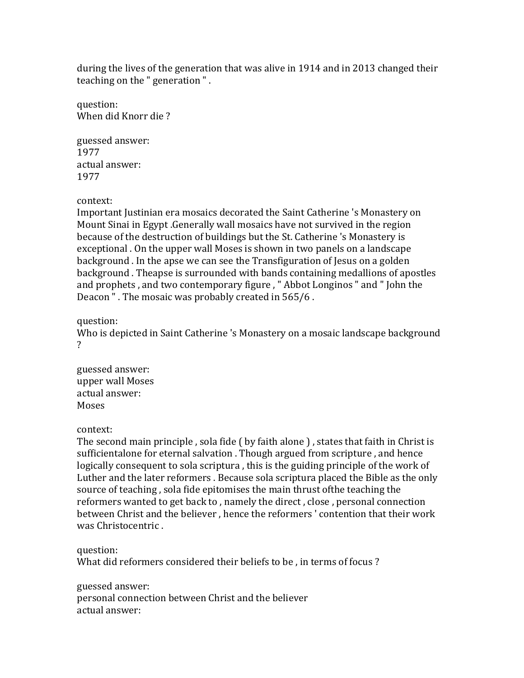during the lives of the generation that was alive in 1914 and in 2013 changed their teaching on the " generation ".

question: When did Knorr die?

guessed answer: 1977 actual answer: 1977

context:

Important Justinian era mosaics decorated the Saint Catherine 's Monastery on Mount Sinai in Egypt .Generally wall mosaics have not survived in the region because of the destruction of buildings but the St. Catherine 's Monastery is exceptional . On the upper wall Moses is shown in two panels on a landscape background . In the apse we can see the Transfiguration of Jesus on a golden background . Theapse is surrounded with bands containing medallions of apostles and prophets, and two contemporary figure, "Abbot Longinos " and " John the Deacon ". The mosaic was probably created in 565/6.

question:

Who is depicted in Saint Catherine 's Monastery on a mosaic landscape background ?

guessed answer: upper wall Moses actual answer: Moses

context:

The second main principle, sola fide (by faith alone), states that faith in Christ is sufficientalone for eternal salvation . Though argued from scripture, and hence logically consequent to sola scriptura, this is the guiding principle of the work of Luther and the later reformers. Because sola scriptura placed the Bible as the only source of teaching, sola fide epitomises the main thrust ofthe teaching the reformers wanted to get back to, namely the direct, close, personal connection between Christ and the believer, hence the reformers' contention that their work was Christocentric.

question:

What did reformers considered their beliefs to be, in terms of focus?

guessed answer: personal connection between Christ and the believer actual answer: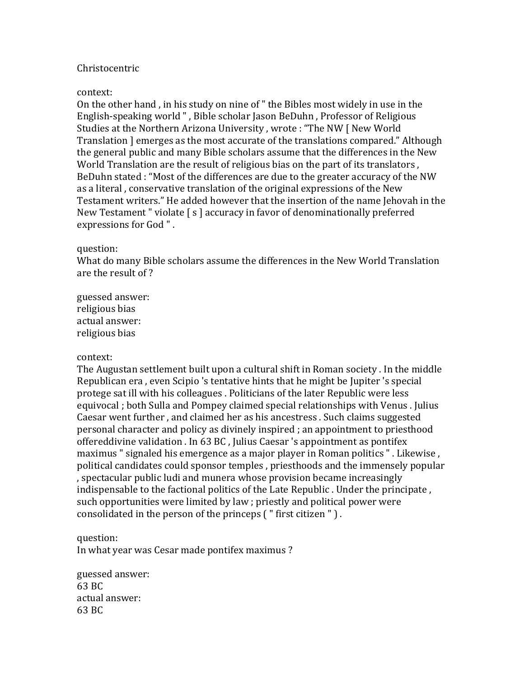# Christocentric

## context:

On the other hand, in his study on nine of " the Bibles most widely in use in the English-speaking world ", Bible scholar Jason BeDuhn, Professor of Religious Studies at the Northern Arizona University, wrote: "The NW [ New World Translation ] emerges as the most accurate of the translations compared." Although the general public and many Bible scholars assume that the differences in the New World Translation are the result of religious bias on the part of its translators, BeDuhn stated : "Most of the differences are due to the greater accuracy of the NW as a literal, conservative translation of the original expressions of the New Testament writers." He added however that the insertion of the name Jehovah in the New Testament " violate  $\lceil s \rceil$  accuracy in favor of denominationally preferred expressions for God".

#### question:

What do many Bible scholars assume the differences in the New World Translation are the result of?

guessed answer: religious bias actual answer: religious bias

## context:

The Augustan settlement built upon a cultural shift in Roman society . In the middle Republican era, even Scipio 's tentative hints that he might be Jupiter 's special protege sat ill with his colleagues. Politicians of the later Republic were less equivocal ; both Sulla and Pompey claimed special relationships with Venus . Julius Caesar went further, and claimed her as his ancestress. Such claims suggested personal character and policy as divinely inspired ; an appointment to priesthood offereddivine validation . In 63 BC, Julius Caesar 's appointment as pontifex maximus " signaled his emergence as a major player in Roman politics ". Likewise, political candidates could sponsor temples, priesthoods and the immensely popular , spectacular public ludi and munera whose provision became increasingly indispensable to the factional politics of the Late Republic . Under the principate, such opportunities were limited by law; priestly and political power were consolidated in the person of the princeps  $($  " first citizen " $)$ .

## question:

In what year was Cesar made pontifex maximus?

guessed answer: 63 BC actual answer: 63 BC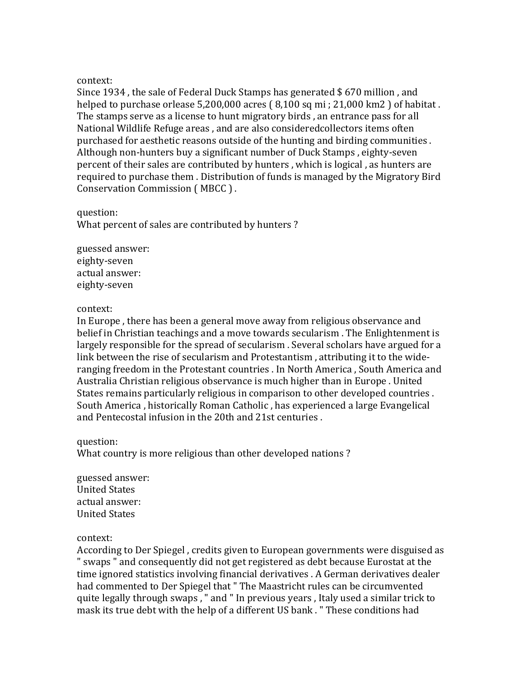Since 1934, the sale of Federal Duck Stamps has generated  $$670$  million, and helped to purchase orlease  $5,200,000$  acres  $(8,100 \text{ sq mi}; 21,000 \text{ km2})$  of habitat. The stamps serve as a license to hunt migratory birds, an entrance pass for all National Wildlife Refuge areas, and are also consideredcollectors items often purchased for aesthetic reasons outside of the hunting and birding communities. Although non-hunters buy a significant number of Duck Stamps, eighty-seven percent of their sales are contributed by hunters, which is logical, as hunters are required to purchase them. Distribution of funds is managed by the Migratory Bird Conservation Commission (MBCC).

question: What percent of sales are contributed by hunters?

guessed answer: eighty-seven actual answer: eighty-seven

## context:

In Europe, there has been a general move away from religious observance and belief in Christian teachings and a move towards secularism. The Enlightenment is largely responsible for the spread of secularism. Several scholars have argued for a link between the rise of secularism and Protestantism, attributing it to the wideranging freedom in the Protestant countries . In North America, South America and Australia Christian religious observance is much higher than in Europe . United States remains particularly religious in comparison to other developed countries. South America, historically Roman Catholic, has experienced a large Evangelical and Pentecostal infusion in the 20th and 21st centuries.

## question:

What country is more religious than other developed nations?

guessed answer: United States actual answer: United States

# context:

According to Der Spiegel, credits given to European governments were disguised as " swaps " and consequently did not get registered as debt because Eurostat at the time ignored statistics involving financial derivatives . A German derivatives dealer had commented to Der Spiegel that " The Maastricht rules can be circumvented quite legally through swaps, " and " In previous years, Italy used a similar trick to mask its true debt with the help of a different US bank . " These conditions had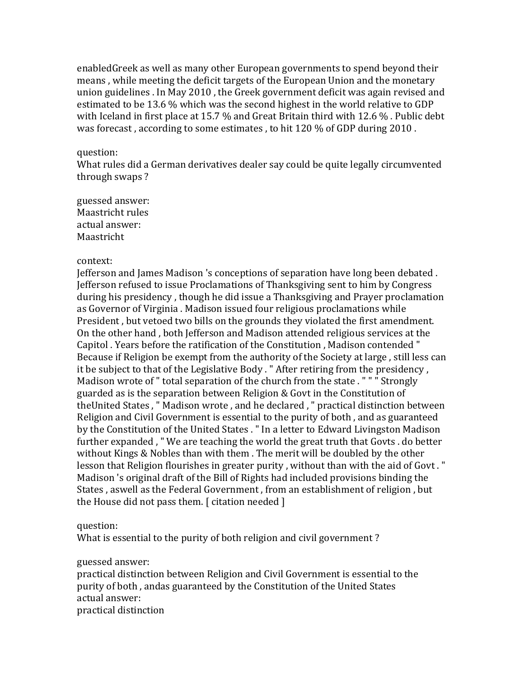enabledGreek as well as many other European governments to spend beyond their means, while meeting the deficit targets of the European Union and the monetary union guidelines . In May 2010, the Greek government deficit was again revised and estimated to be 13.6 % which was the second highest in the world relative to GDP with Iceland in first place at 15.7  $\%$  and Great Britain third with 12.6  $\%$ . Public debt was forecast, according to some estimates, to hit  $120\%$  of GDP during 2010.

## question:

What rules did a German derivatives dealer say could be quite legally circumvented through swaps?

guessed answer: Maastricht rules actual answer: Maastricht

## context:

Jefferson and James Madison 's conceptions of separation have long been debated. Jefferson refused to issue Proclamations of Thanksgiving sent to him by Congress during his presidency, though he did issue a Thanksgiving and Prayer proclamation as Governor of Virginia . Madison issued four religious proclamations while President, but vetoed two bills on the grounds they violated the first amendment. On the other hand, both Jefferson and Madison attended religious services at the Capitol . Years before the ratification of the Constitution, Madison contended " Because if Religion be exempt from the authority of the Society at large, still less can it be subject to that of the Legislative Body . " After retiring from the presidency, Madison wrote of " total separation of the church from the state . " " " Strongly guarded as is the separation between Religion  $&$  Govt in the Constitution of theUnited States, " Madison wrote, and he declared, " practical distinction between Religion and Civil Government is essential to the purity of both, and as guaranteed by the Constitution of the United States . " In a letter to Edward Livingston Madison further expanded, "We are teaching the world the great truth that Govts . do better without Kings & Nobles than with them. The merit will be doubled by the other lesson that Religion flourishes in greater purity, without than with the aid of Govt." Madison 's original draft of the Bill of Rights had included provisions binding the States, aswell as the Federal Government, from an establishment of religion, but the House did not pass them.  $\lceil$  citation needed  $\rceil$ 

## question:

What is essential to the purity of both religion and civil government?

guessed answer:

practical distinction between Religion and Civil Government is essential to the purity of both, andas guaranteed by the Constitution of the United States actual answer: practical distinction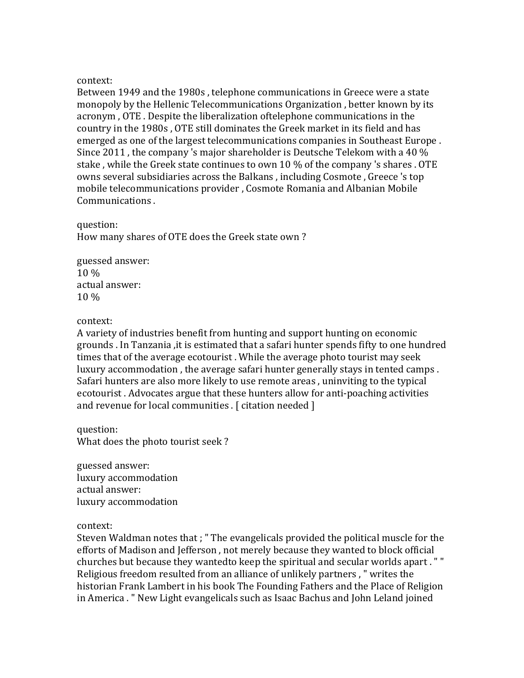Between 1949 and the 1980s, telephone communications in Greece were a state monopoly by the Hellenic Telecommunications Organization, better known by its acronym, OTE. Despite the liberalization oftelephone communications in the country in the 1980s, OTE still dominates the Greek market in its field and has emerged as one of the largest telecommunications companies in Southeast Europe. Since 2011, the company 's major shareholder is Deutsche Telekom with a 40  $\%$ stake, while the Greek state continues to own 10 % of the company 's shares. OTE owns several subsidiaries across the Balkans, including Cosmote, Greece 's top mobile telecommunications provider, Cosmote Romania and Albanian Mobile Communications.

# question:

How many shares of OTE does the Greek state own?

guessed answer: 10 % actual answer:  $10\%$ 

# context:

A variety of industries benefit from hunting and support hunting on economic grounds . In Tanzania , it is estimated that a safari hunter spends fifty to one hundred times that of the average ecotourist. While the average photo tourist may seek luxury accommodation, the average safari hunter generally stays in tented camps. Safari hunters are also more likely to use remote areas, uninviting to the typical ecotourist. Advocates argue that these hunters allow for anti-poaching activities and revenue for local communities .  $[$  citation needed  $]$ 

question: What does the photo tourist seek?

guessed answer: luxury accommodation actual answer: luxury accommodation

## context:

Steven Waldman notes that ; " The evangelicals provided the political muscle for the efforts of Madison and Jefferson, not merely because they wanted to block official churches but because they wantedto keep the spiritual and secular worlds apart. "" Religious freedom resulted from an alliance of unlikely partners, " writes the historian Frank Lambert in his book The Founding Fathers and the Place of Religion in America . " New Light evangelicals such as Isaac Bachus and John Leland joined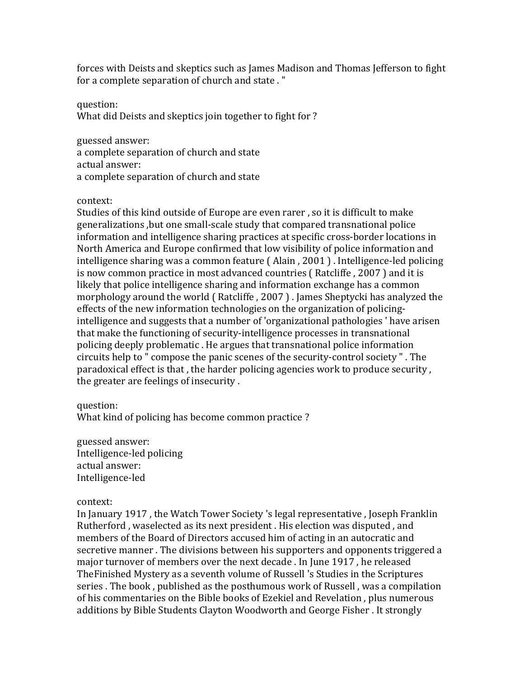forces with Deists and skeptics such as James Madison and Thomas Jefferson to fight for a complete separation of church and state ."

question:

What did Deists and skeptics join together to fight for?

guessed answer: a complete separation of church and state actual answer: a complete separation of church and state

context:

Studies of this kind outside of Europe are even rarer, so it is difficult to make generalizations, but one small-scale study that compared transnational police information and intelligence sharing practices at specific cross-border locations in North America and Europe confirmed that low visibility of police information and intelligence sharing was a common feature (Alain, 2001). Intelligence-led policing is now common practice in most advanced countries ( Ratcliffe, 2007) and it is likely that police intelligence sharing and information exchange has a common morphology around the world  $($  Ratcliffe  $, 2007$  $)$ . James Sheptycki has analyzed the effects of the new information technologies on the organization of policingintelligence and suggests that a number of 'organizational pathologies ' have arisen that make the functioning of security-intelligence processes in transnational policing deeply problematic. He argues that transnational police information circuits help to " compose the panic scenes of the security-control society ". The paradoxical effect is that, the harder policing agencies work to produce security, the greater are feelings of insecurity.

question:

What kind of policing has become common practice?

guessed answer: Intelligence-led policing actual answer: Intelligence-led

# context:

In January 1917, the Watch Tower Society 's legal representative, Joseph Franklin Rutherford, waselected as its next president. His election was disputed, and members of the Board of Directors accused him of acting in an autocratic and secretive manner. The divisions between his supporters and opponents triggered a major turnover of members over the next decade . In June 1917, he released The Finished Mystery as a seventh volume of Russell 's Studies in the Scriptures series . The book, published as the posthumous work of Russell, was a compilation of his commentaries on the Bible books of Ezekiel and Revelation, plus numerous additions by Bible Students Clayton Woodworth and George Fisher . It strongly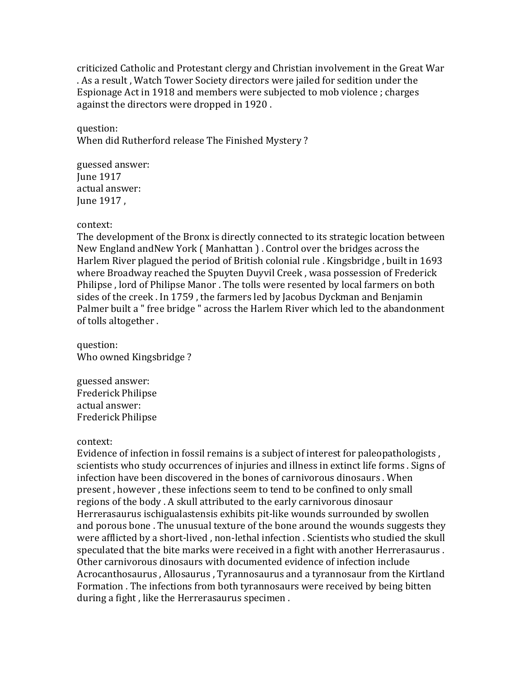criticized Catholic and Protestant clergy and Christian involvement in the Great War . As a result, Watch Tower Society directors were jailed for sedition under the Espionage Act in 1918 and members were subjected to mob violence ; charges against the directors were dropped in 1920.

question: When did Rutherford release The Finished Mystery?

guessed answer: **Iune 1917** actual answer: June 1917,

# context:

The development of the Bronx is directly connected to its strategic location between New England andNew York (Manhattan). Control over the bridges across the Harlem River plagued the period of British colonial rule . Kingsbridge, built in 1693 where Broadway reached the Spuyten Duyvil Creek, wasa possession of Frederick Philipse, lord of Philipse Manor. The tolls were resented by local farmers on both sides of the creek. In 1759, the farmers led by Jacobus Dyckman and Benjamin Palmer built a " free bridge " across the Harlem River which led to the abandonment of tolls altogether.

question: Who owned Kingsbridge?

guessed answer: Frederick Philipse actual answer: Frederick Philipse

# context:

Evidence of infection in fossil remains is a subject of interest for paleopathologists, scientists who study occurrences of injuries and illness in extinct life forms . Signs of infection have been discovered in the bones of carnivorous dinosaurs . When present, however, these infections seem to tend to be confined to only small regions of the body. A skull attributed to the early carnivorous dinosaur Herrerasaurus ischigualastensis exhibits pit-like wounds surrounded by swollen and porous bone. The unusual texture of the bone around the wounds suggests they were afflicted by a short-lived, non-lethal infection . Scientists who studied the skull speculated that the bite marks were received in a fight with another Herrerasaurus. Other carnivorous dinosaurs with documented evidence of infection include Acrocanthosaurus, Allosaurus, Tyrannosaurus and a tyrannosaur from the Kirtland Formation . The infections from both tyrannosaurs were received by being bitten during a fight, like the Herrerasaurus specimen.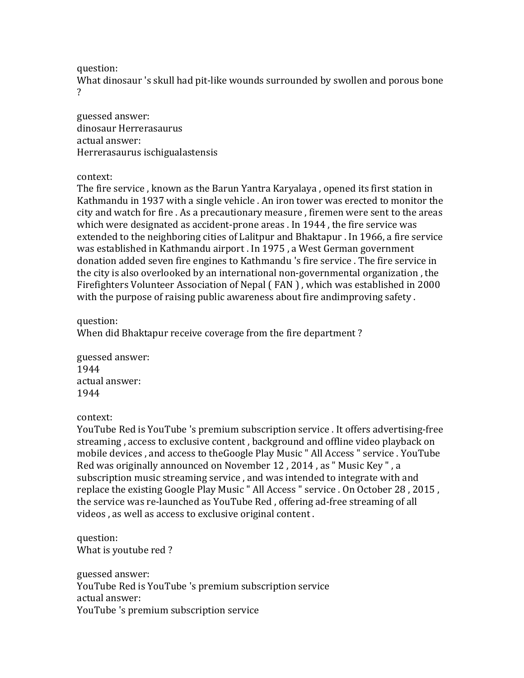question:

What dinosaur 's skull had pit-like wounds surrounded by swollen and porous bone ?

guessed answer: dinosaur Herrerasaurus actual answer: Herrerasaurus ischigualastensis

# context:

The fire service, known as the Barun Yantra Karyalaya, opened its first station in Kathmandu in 1937 with a single vehicle . An iron tower was erected to monitor the city and watch for fire . As a precautionary measure, firemen were sent to the areas which were designated as accident-prone areas . In 1944, the fire service was extended to the neighboring cities of Lalitpur and Bhaktapur . In 1966, a fire service was established in Kathmandu airport . In 1975, a West German government donation added seven fire engines to Kathmandu 's fire service. The fire service in the city is also overlooked by an international non-governmental organization, the Firefighters Volunteer Association of Nepal (FAN), which was established in 2000 with the purpose of raising public awareness about fire andimproving safety.

question:

When did Bhaktapur receive coverage from the fire department?

guessed answer: 1944 actual answer: 1944

context:

YouTube Red is YouTube 's premium subscription service . It offers advertising-free streaming, access to exclusive content, background and offline video playback on mobile devices, and access to theGoogle Play Music " All Access " service. YouTube Red was originally announced on November 12, 2014, as " Music Key ", a subscription music streaming service, and was intended to integrate with and replace the existing Google Play Music " All Access " service . On October 28, 2015, the service was re-launched as YouTube Red, offering ad-free streaming of all videos, as well as access to exclusive original content.

question: What is youtube red?

guessed answer: YouTube Red is YouTube 's premium subscription service actual answer: YouTube 's premium subscription service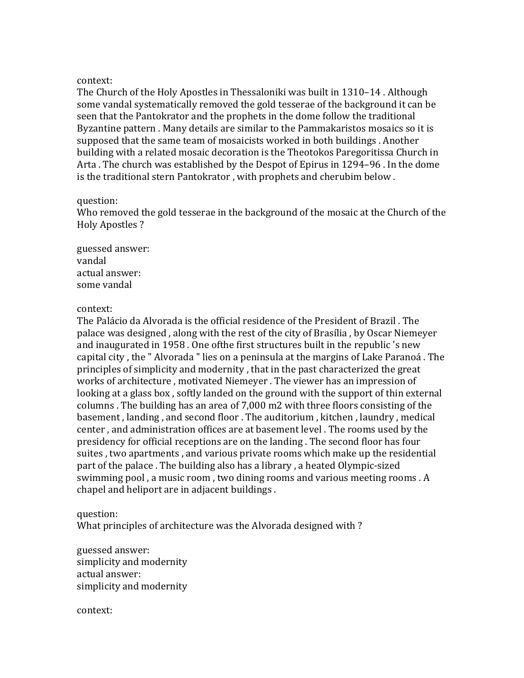The Church of the Holy Apostles in Thessaloniki was built in  $1310-14$ . Although some vandal systematically removed the gold tesserae of the background it can be seen that the Pantokrator and the prophets in the dome follow the traditional Byzantine pattern . Many details are similar to the Pammakaristos mosaics so it is supposed that the same team of mosaicists worked in both buildings . Another building with a related mosaic decoration is the Theotokos Paregoritissa Church in Arta. The church was established by the Despot of Epirus in 1294–96. In the dome is the traditional stern Pantokrator, with prophets and cherubim below.

## question:

Who removed the gold tesserae in the background of the mosaic at the Church of the Holy Apostles?

guessed answer: vandal actual answer: some vandal

## context:

The Palácio da Alvorada is the official residence of the President of Brazil. The palace was designed, along with the rest of the city of Brasília, by Oscar Niemeyer and inaugurated in 1958. One of the first structures built in the republic 's new capital city, the "Alvorada" lies on a peninsula at the margins of Lake Paranoá. The principles of simplicity and modernity, that in the past characterized the great works of architecture, motivated Niemeyer. The viewer has an impression of looking at a glass box, softly landed on the ground with the support of thin external columns. The building has an area of 7,000 m2 with three floors consisting of the basement, landing, and second floor. The auditorium, kitchen, laundry, medical center, and administration offices are at basement level. The rooms used by the presidency for official receptions are on the landing. The second floor has four suites, two apartments, and various private rooms which make up the residential part of the palace. The building also has a library, a heated Olympic-sized swimming pool, a music room, two dining rooms and various meeting rooms. A chapel and heliport are in adjacent buildings.

# question:

What principles of architecture was the Alvorada designed with?

guessed answer: simplicity and modernity actual answer: simplicity and modernity

context: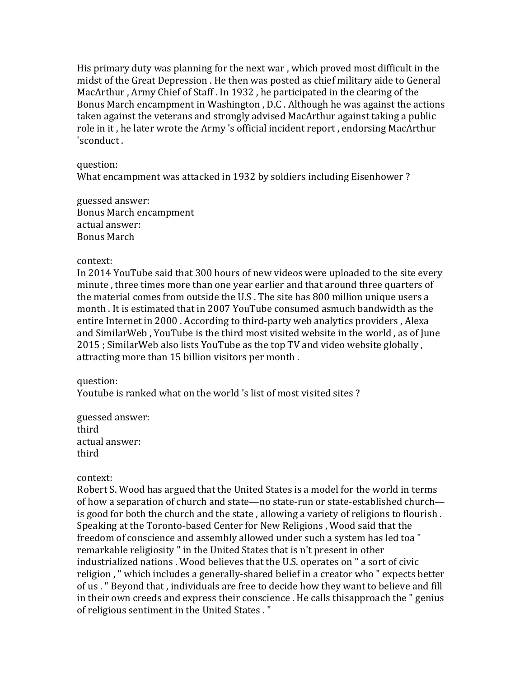His primary duty was planning for the next war, which proved most difficult in the midst of the Great Depression . He then was posted as chief military aide to General MacArthur, Army Chief of Staff. In 1932, he participated in the clearing of the Bonus March encampment in Washington, D.C. Although he was against the actions taken against the veterans and strongly advised MacArthur against taking a public role in it, he later wrote the Army 's official incident report, endorsing MacArthur 'sconduct.

## question:

What encampment was attacked in 1932 by soldiers including Eisenhower?

guessed answer: Bonus March encampment actual answer: Bonus March

## context:

In 2014 YouTube said that 300 hours of new videos were uploaded to the site every minute, three times more than one year earlier and that around three quarters of the material comes from outside the U.S. The site has 800 million unique users a month. It is estimated that in 2007 YouTube consumed asmuch bandwidth as the entire Internet in 2000. According to third-party web analytics providers, Alexa and SimilarWeb, YouTube is the third most visited website in the world, as of June  $2015$ ; SimilarWeb also lists YouTube as the top TV and video website globally, attracting more than 15 billion visitors per month.

# question:

Youtube is ranked what on the world 's list of most visited sites?

guessed answer: third actual answer: third

# context:

Robert S. Wood has argued that the United States is a model for the world in terms of how a separation of church and state—no state-run or state-established church is good for both the church and the state, allowing a variety of religions to flourish. Speaking at the Toronto-based Center for New Religions, Wood said that the freedom of conscience and assembly allowed under such a system has led toa " remarkable religiosity " in the United States that is n't present in other industrialized nations . Wood believes that the U.S. operates on " a sort of civic religion, " which includes a generally-shared belief in a creator who " expects better of us. " Beyond that, individuals are free to decide how they want to believe and fill in their own creeds and express their conscience. He calls thisapproach the " genius of religious sentiment in the United States."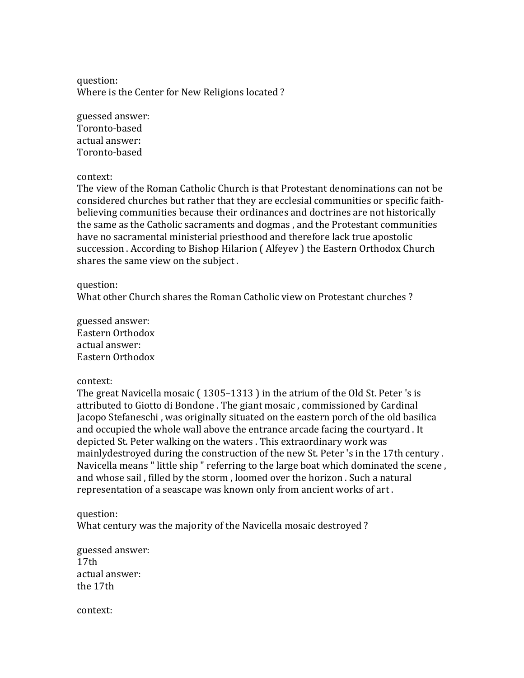question: Where is the Center for New Religions located?

guessed answer: Toronto-based actual answer: Toronto-based

## context:

The view of the Roman Catholic Church is that Protestant denominations can not be considered churches but rather that they are ecclesial communities or specific faithbelieving communities because their ordinances and doctrines are not historically the same as the Catholic sacraments and dogmas, and the Protestant communities have no sacramental ministerial priesthood and therefore lack true apostolic succession . According to Bishop Hilarion (Alfeyev) the Eastern Orthodox Church shares the same view on the subject.

## question:

What other Church shares the Roman Catholic view on Protestant churches?

guessed answer: Eastern Orthodox actual answer: Eastern Orthodox

# context:

The great Navicella mosaic  $(1305-1313)$  in the atrium of the Old St. Peter 's is attributed to Giotto di Bondone . The giant mosaic, commissioned by Cardinal Jacopo Stefaneschi, was originally situated on the eastern porch of the old basilica and occupied the whole wall above the entrance arcade facing the courtyard. It depicted St. Peter walking on the waters . This extraordinary work was mainlydestroyed during the construction of the new St. Peter 's in the 17th century. Navicella means " little ship " referring to the large boat which dominated the scene, and whose sail, filled by the storm, loomed over the horizon. Such a natural representation of a seascape was known only from ancient works of art.

question: What century was the majority of the Navicella mosaic destroyed?

guessed answer:  $17<sub>th</sub>$ actual answer:  $the 17th$ 

context: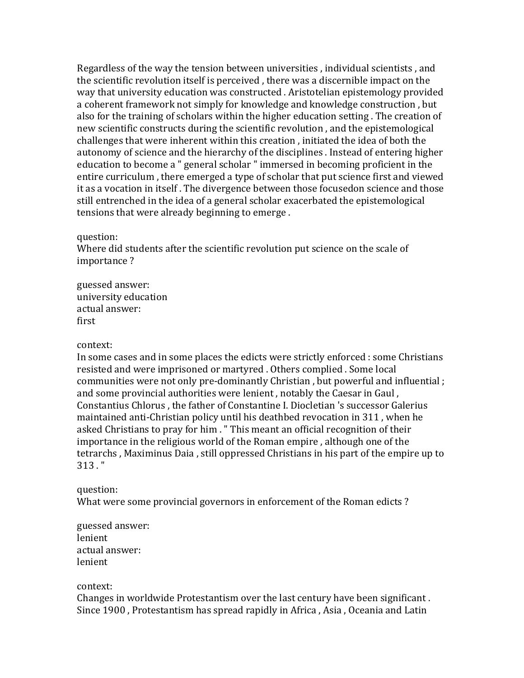Regardless of the way the tension between universities, individual scientists, and the scientific revolution itself is perceived, there was a discernible impact on the way that university education was constructed. Aristotelian epistemology provided a coherent framework not simply for knowledge and knowledge construction, but also for the training of scholars within the higher education setting. The creation of new scientific constructs during the scientific revolution, and the epistemological challenges that were inherent within this creation, initiated the idea of both the autonomy of science and the hierarchy of the disciplines . Instead of entering higher education to become a " general scholar " immersed in becoming proficient in the entire curriculum, there emerged a type of scholar that put science first and viewed it as a vocation in itself. The divergence between those focusedon science and those still entrenched in the idea of a general scholar exacerbated the epistemological tensions that were already beginning to emerge.

#### question:

Where did students after the scientific revolution put science on the scale of importance?

guessed answer: university education actual answer: first

#### context:

In some cases and in some places the edicts were strictly enforced : some Christians resisted and were imprisoned or martyred . Others complied . Some local communities were not only pre-dominantly Christian, but powerful and influential ; and some provincial authorities were lenient, notably the Caesar in Gaul, Constantius Chlorus, the father of Constantine I. Diocletian 's successor Galerius maintained anti-Christian policy until his deathbed revocation in 311, when he asked Christians to pray for him . " This meant an official recognition of their importance in the religious world of the Roman empire, although one of the tetrarchs, Maximinus Daia, still oppressed Christians in his part of the empire up to  $313.$  "

# question:

What were some provincial governors in enforcement of the Roman edicts?

guessed answer: lenient actual answer: lenient

#### context:

Changes in worldwide Protestantism over the last century have been significant. Since 1900, Protestantism has spread rapidly in Africa, Asia, Oceania and Latin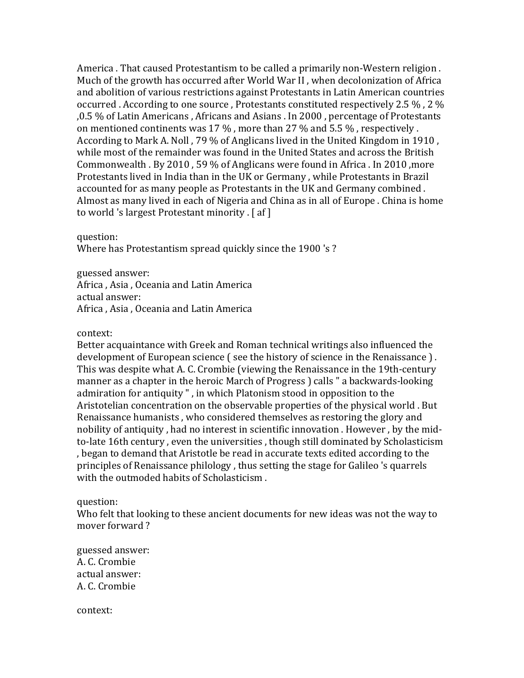America . That caused Protestantism to be called a primarily non-Western religion. Much of the growth has occurred after World War II, when decolonization of Africa and abolition of various restrictions against Protestants in Latin American countries occurred . According to one source . Protestants constituted respectively 2.5  $\%$  , 2  $\%$ ,0.5 % of Latin Americans , Africans and Asians . In 2000 , percentage of Protestants on mentioned continents was 17  $\%$ , more than 27  $\%$  and 5.5  $\%$ , respectively. According to Mark A. Noll, 79 % of Anglicans lived in the United Kingdom in 1910, while most of the remainder was found in the United States and across the British Commonwealth . By 2010, 59 % of Anglicans were found in Africa . In 2010, more Protestants lived in India than in the UK or Germany, while Protestants in Brazil accounted for as many people as Protestants in the UK and Germany combined. Almost as many lived in each of Nigeria and China as in all of Europe . China is home to world 's largest Protestant minority . [ af ]

question:

Where has Protestantism spread quickly since the 1900 's?

guessed answer: Africa, Asia, Oceania and Latin America actual answer: Africa , Asia, Oceania and Latin America

context:

Better acquaintance with Greek and Roman technical writings also influenced the development of European science (see the history of science in the Renaissance). This was despite what A. C. Crombie (viewing the Renaissance in the 19th-century manner as a chapter in the heroic March of Progress  $\alpha$  calls " a backwards-looking admiration for antiquity", in which Platonism stood in opposition to the Aristotelian concentration on the observable properties of the physical world. But Renaissance humanists, who considered themselves as restoring the glory and nobility of antiquity, had no interest in scientific innovation. However, by the midto-late 16th century, even the universities, though still dominated by Scholasticism , began to demand that Aristotle be read in accurate texts edited according to the principles of Renaissance philology, thus setting the stage for Galileo 's quarrels with the outmoded habits of Scholasticism.

question:

Who felt that looking to these ancient documents for new ideas was not the way to mover forward?

guessed answer: A. C. Crombie actual answer: A. C. Crombie

context: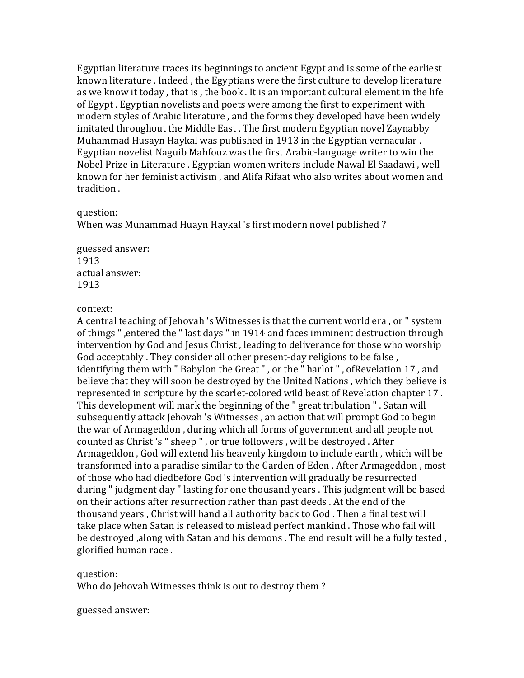Egyptian literature traces its beginnings to ancient Egypt and is some of the earliest known literature . Indeed, the Egyptians were the first culture to develop literature as we know it today, that is, the book. It is an important cultural element in the life of Egypt. Egyptian novelists and poets were among the first to experiment with modern styles of Arabic literature, and the forms they developed have been widely imitated throughout the Middle East. The first modern Egyptian novel Zaynabby Muhammad Husayn Haykal was published in 1913 in the Egyptian vernacular. Egyptian novelist Naguib Mahfouz was the first Arabic-language writer to win the Nobel Prize in Literature . Egyptian women writers include Nawal El Saadawi, well known for her feminist activism, and Alifa Rifaat who also writes about women and tradition.

#### question:

When was Munammad Huayn Haykal 's first modern novel published?

guessed answer: 1913 actual answer: 1913

## context:

A central teaching of Jehovah 's Witnesses is that the current world era, or " system of things ", entered the " last days " in 1914 and faces imminent destruction through intervention by God and Jesus Christ, leading to deliverance for those who worship God acceptably . They consider all other present-day religions to be false, identifying them with " Babylon the Great ", or the " harlot ", ofRevelation 17, and believe that they will soon be destroyed by the United Nations, which they believe is represented in scripture by the scarlet-colored wild beast of Revelation chapter 17. This development will mark the beginning of the " great tribulation ". Satan will subsequently attack Jehovah 's Witnesses, an action that will prompt God to begin the war of Armageddon, during which all forms of government and all people not counted as Christ's " sheep ", or true followers, will be destroyed. After Armageddon, God will extend his heavenly kingdom to include earth, which will be transformed into a paradise similar to the Garden of Eden. After Armageddon, most of those who had diedbefore God 's intervention will gradually be resurrected during " judgment day " lasting for one thousand years . This judgment will be based on their actions after resurrection rather than past deeds. At the end of the thousand years, Christ will hand all authority back to God. Then a final test will take place when Satan is released to mislead perfect mankind. Those who fail will be destroyed ,along with Satan and his demons . The end result will be a fully tested, glorified human race.

question:

Who do Jehovah Witnesses think is out to destroy them?

guessed answer: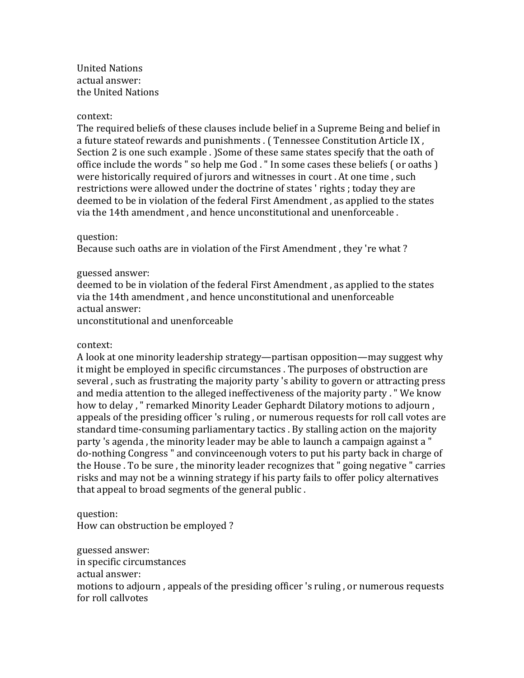United Nations actual answer: the United Nations

## context:

The required beliefs of these clauses include belief in a Supreme Being and belief in a future stateof rewards and punishments . ( Tennessee Constitution Article IX, Section 2 is one such example . )Some of these same states specify that the oath of office include the words " so help me God. " In some cases these beliefs ( or oaths ) were historically required of jurors and witnesses in court. At one time, such restrictions were allowed under the doctrine of states 'rights; today they are deemed to be in violation of the federal First Amendment, as applied to the states via the 14th amendment, and hence unconstitutional and unenforceable.

## question:

Because such oaths are in violation of the First Amendment, they 're what?

## guessed answer:

deemed to be in violation of the federal First Amendment, as applied to the states via the 14th amendment, and hence unconstitutional and unenforceable actual answer: unconstitutional and unenforceable

# context:

A look at one minority leadership strategy—partisan opposition—may suggest why it might be employed in specific circumstances. The purposes of obstruction are several, such as frustrating the majority party 's ability to govern or attracting press and media attention to the alleged ineffectiveness of the majority party . " We know how to delay, " remarked Minority Leader Gephardt Dilatory motions to adjourn, appeals of the presiding officer 's ruling, or numerous requests for roll call votes are standard time-consuming parliamentary tactics . By stalling action on the majority party 's agenda, the minority leader may be able to launch a campaign against a " do-nothing Congress " and convinceenough voters to put his party back in charge of the House . To be sure, the minority leader recognizes that " going negative " carries risks and may not be a winning strategy if his party fails to offer policy alternatives that appeal to broad segments of the general public.

question: How can obstruction be employed?

guessed answer: in specific circumstances actual answer: motions to adjourn, appeals of the presiding officer 's ruling, or numerous requests for roll callvotes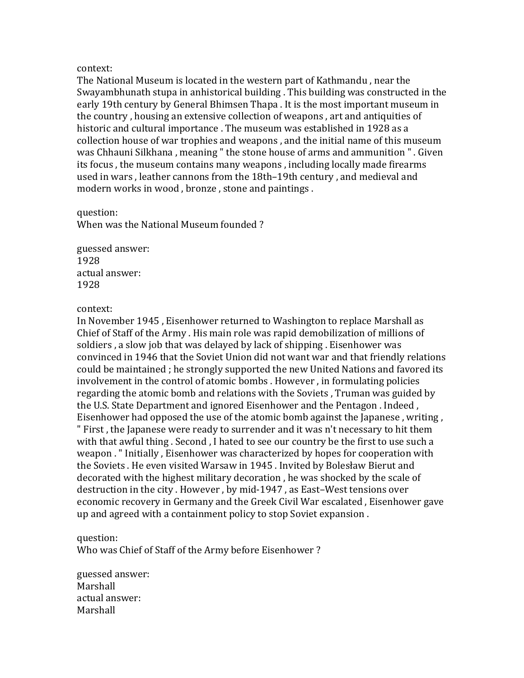The National Museum is located in the western part of Kathmandu, near the Swayambhunath stupa in anhistorical building. This building was constructed in the early 19th century by General Bhimsen Thapa. It is the most important museum in the country, housing an extensive collection of weapons, art and antiquities of historic and cultural importance . The museum was established in 1928 as a collection house of war trophies and weapons, and the initial name of this museum was Chhauni Silkhana, meaning " the stone house of arms and ammunition ". Given its focus, the museum contains many weapons, including locally made firearms used in wars, leather cannons from the 18th–19th century, and medieval and modern works in wood, bronze, stone and paintings.

## question:

When was the National Museum founded?

guessed answer: 1928 actual answer: 1928

# context:

In November 1945, Eisenhower returned to Washington to replace Marshall as Chief of Staff of the Army . His main role was rapid demobilization of millions of soldiers, a slow job that was delayed by lack of shipping. Eisenhower was convinced in 1946 that the Soviet Union did not want war and that friendly relations could be maintained; he strongly supported the new United Nations and favored its involvement in the control of atomic bombs. However, in formulating policies regarding the atomic bomb and relations with the Soviets, Truman was guided by the U.S. State Department and ignored Eisenhower and the Pentagon . Indeed , Eisenhower had opposed the use of the atomic bomb against the Japanese, writing, " First, the Japanese were ready to surrender and it was n't necessary to hit them with that awful thing. Second, I hated to see our country be the first to use such a weapon . " Initially, Eisenhower was characterized by hopes for cooperation with the Soviets . He even visited Warsaw in 1945 . Invited by Bolesław Bierut and decorated with the highest military decoration, he was shocked by the scale of destruction in the city. However, by mid-1947, as East-West tensions over economic recovery in Germany and the Greek Civil War escalated, Eisenhower gave up and agreed with a containment policy to stop Soviet expansion.

# question:

Who was Chief of Staff of the Army before Eisenhower?

guessed answer: Marshall actual answer: Marshall